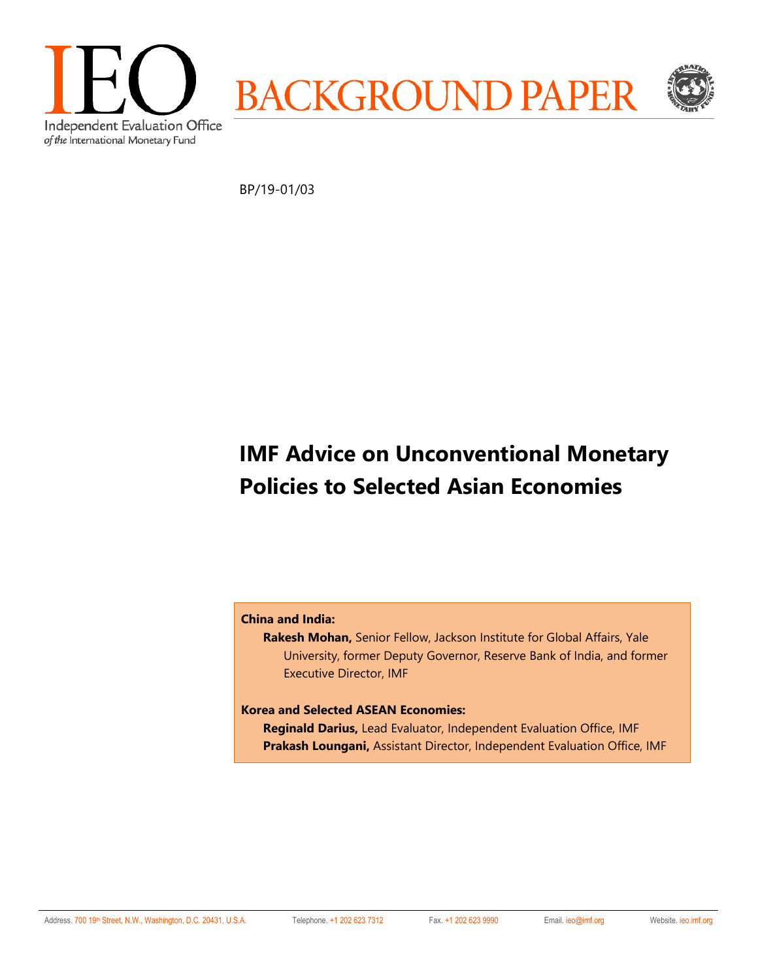

BP/19-01/03

# **IMF Advice on Unconventional Monetary Policies to Selected Asian Economies**

### **China and India:**

**Rakesh Mohan,** Senior Fellow, Jackson Institute for Global Affairs, Yale University, former Deputy Governor, Reserve Bank of India, and former Executive Director, IMF

#### **Korea and Selected ASEAN Economies:**

**Reginald Darius,** Lead Evaluator, Independent Evaluation Office, IMF **Prakash Loungani,** Assistant Director, Independent Evaluation Office, IMF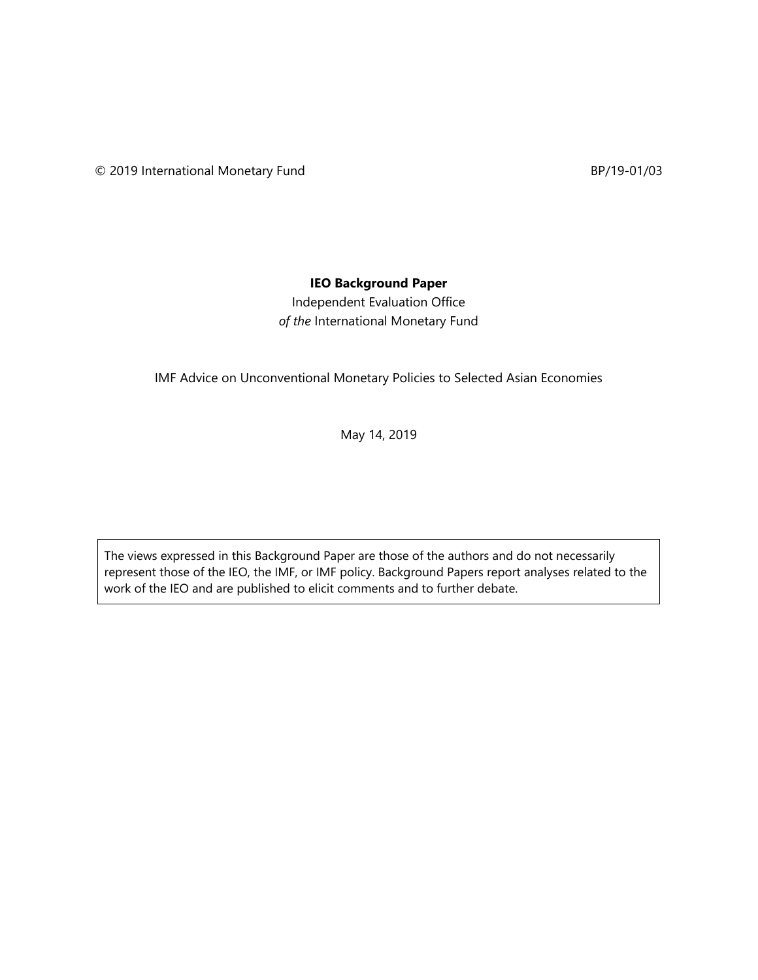## **IEO Background Paper**

Independent Evaluation Office *of the* International Monetary Fund

IMF Advice on Unconventional Monetary Policies to Selected Asian Economies

May 14, 2019

The views expressed in this Background Paper are those of the authors and do not necessarily represent those of the IEO, the IMF, or IMF policy. Background Papers report analyses related to the work of the IEO and are published to elicit comments and to further debate.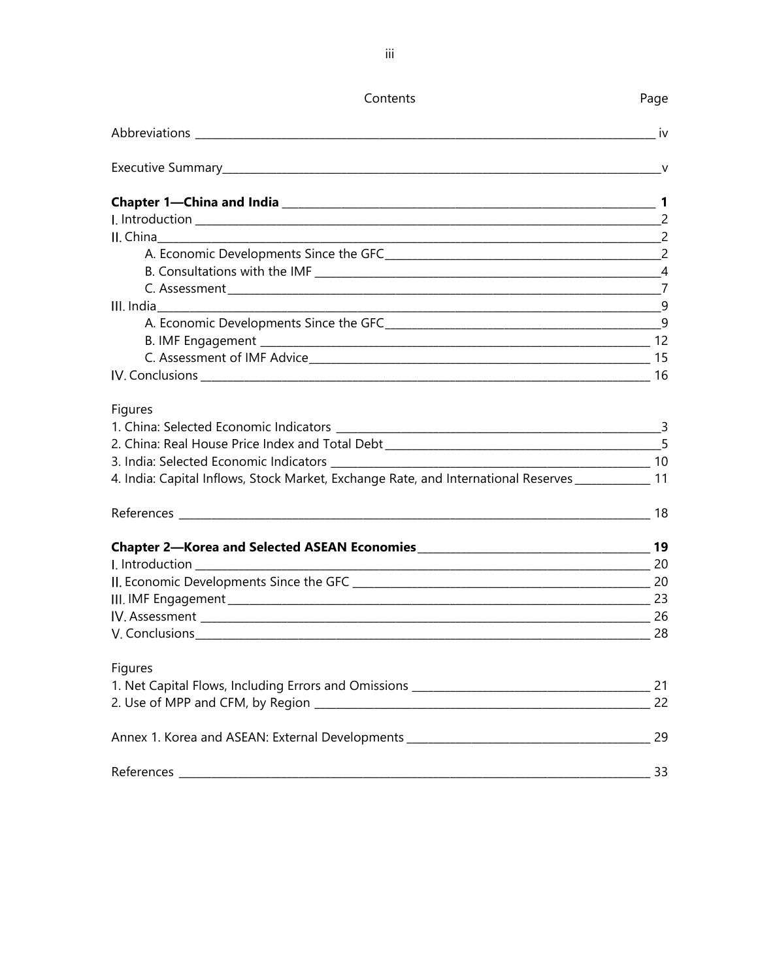| Contents                                                                                             | Page |
|------------------------------------------------------------------------------------------------------|------|
|                                                                                                      | iv   |
|                                                                                                      |      |
|                                                                                                      |      |
|                                                                                                      |      |
|                                                                                                      |      |
|                                                                                                      |      |
|                                                                                                      |      |
|                                                                                                      |      |
|                                                                                                      |      |
|                                                                                                      |      |
|                                                                                                      |      |
|                                                                                                      |      |
|                                                                                                      |      |
| <b>Figures</b>                                                                                       |      |
|                                                                                                      |      |
|                                                                                                      |      |
|                                                                                                      |      |
| 4. India: Capital Inflows, Stock Market, Exchange Rate, and International Reserves ______________ 11 |      |
|                                                                                                      |      |
|                                                                                                      |      |
|                                                                                                      |      |
|                                                                                                      |      |
|                                                                                                      |      |
|                                                                                                      |      |
|                                                                                                      |      |
| Figures                                                                                              |      |
|                                                                                                      |      |
|                                                                                                      | 22   |
|                                                                                                      |      |
|                                                                                                      | 33   |
|                                                                                                      |      |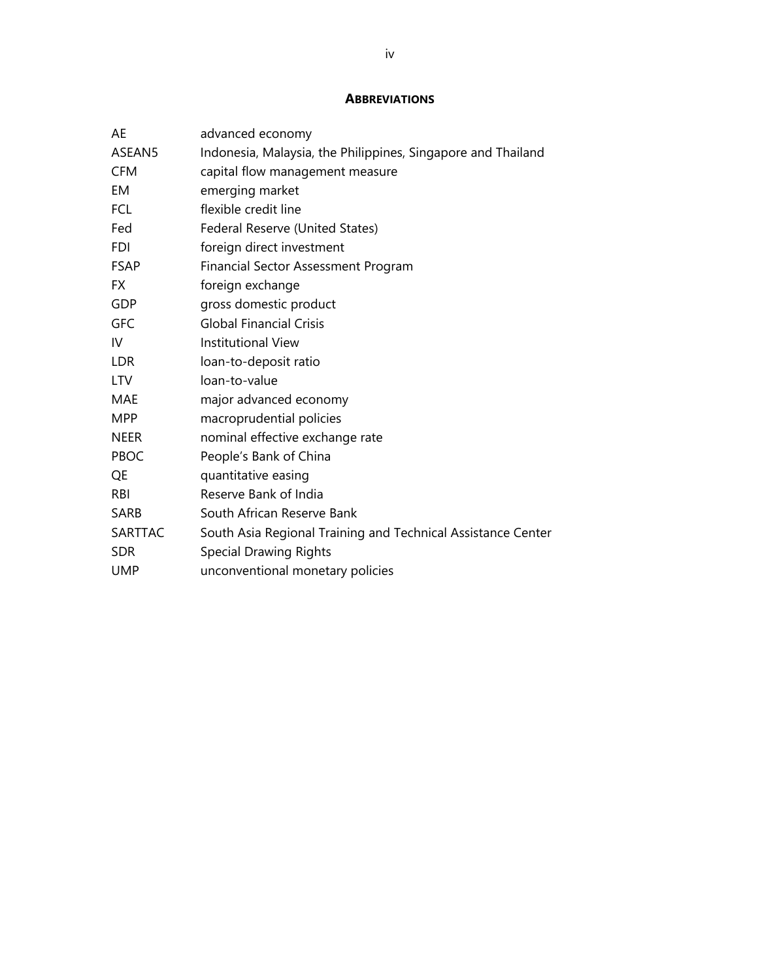#### **ABBREVIATIONS**

| AE          | advanced economy                                             |
|-------------|--------------------------------------------------------------|
| ASEAN5      | Indonesia, Malaysia, the Philippines, Singapore and Thailand |
| <b>CFM</b>  | capital flow management measure                              |
| EM          | emerging market                                              |
| <b>FCL</b>  | flexible credit line                                         |
| Fed         | Federal Reserve (United States)                              |
| <b>FDI</b>  | foreign direct investment                                    |
| <b>FSAP</b> | Financial Sector Assessment Program                          |
| FX.         | foreign exchange                                             |
| GDP         | gross domestic product                                       |
| <b>GFC</b>  | <b>Global Financial Crisis</b>                               |
| IV          | <b>Institutional View</b>                                    |
| <b>LDR</b>  | loan-to-deposit ratio                                        |
| <b>LTV</b>  | loan-to-value                                                |
| MAE         | major advanced economy                                       |
| <b>MPP</b>  | macroprudential policies                                     |
| <b>NEER</b> | nominal effective exchange rate                              |
| PBOC        | People's Bank of China                                       |
| QE          | quantitative easing                                          |
| <b>RBI</b>  | Reserve Bank of India                                        |
| <b>SARB</b> | South African Reserve Bank                                   |
| SARTTAC     | South Asia Regional Training and Technical Assistance Center |
| <b>SDR</b>  | <b>Special Drawing Rights</b>                                |
| <b>UMP</b>  | unconventional monetary policies                             |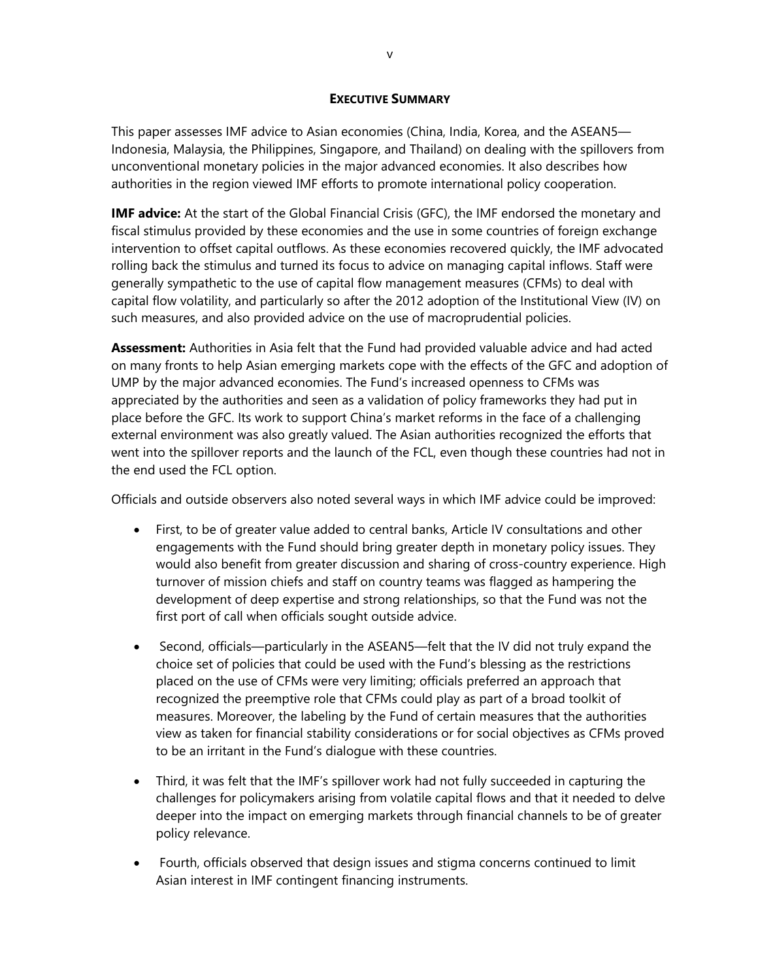#### **EXECUTIVE SUMMARY**

This paper assesses IMF advice to Asian economies (China, India, Korea, and the ASEAN5— Indonesia, Malaysia, the Philippines, Singapore, and Thailand) on dealing with the spillovers from unconventional monetary policies in the major advanced economies. It also describes how authorities in the region viewed IMF efforts to promote international policy cooperation.

**IMF advice:** At the start of the Global Financial Crisis (GFC), the IMF endorsed the monetary and fiscal stimulus provided by these economies and the use in some countries of foreign exchange intervention to offset capital outflows. As these economies recovered quickly, the IMF advocated rolling back the stimulus and turned its focus to advice on managing capital inflows. Staff were generally sympathetic to the use of capital flow management measures (CFMs) to deal with capital flow volatility, and particularly so after the 2012 adoption of the Institutional View (IV) on such measures, and also provided advice on the use of macroprudential policies.

**Assessment:** Authorities in Asia felt that the Fund had provided valuable advice and had acted on many fronts to help Asian emerging markets cope with the effects of the GFC and adoption of UMP by the major advanced economies. The Fund's increased openness to CFMs was appreciated by the authorities and seen as a validation of policy frameworks they had put in place before the GFC. Its work to support China's market reforms in the face of a challenging external environment was also greatly valued. The Asian authorities recognized the efforts that went into the spillover reports and the launch of the FCL, even though these countries had not in the end used the FCL option.

Officials and outside observers also noted several ways in which IMF advice could be improved:

- First, to be of greater value added to central banks, Article IV consultations and other engagements with the Fund should bring greater depth in monetary policy issues. They would also benefit from greater discussion and sharing of cross-country experience. High turnover of mission chiefs and staff on country teams was flagged as hampering the development of deep expertise and strong relationships, so that the Fund was not the first port of call when officials sought outside advice.
- Second, officials—particularly in the ASEAN5—felt that the IV did not truly expand the choice set of policies that could be used with the Fund's blessing as the restrictions placed on the use of CFMs were very limiting; officials preferred an approach that recognized the preemptive role that CFMs could play as part of a broad toolkit of measures. Moreover, the labeling by the Fund of certain measures that the authorities view as taken for financial stability considerations or for social objectives as CFMs proved to be an irritant in the Fund's dialogue with these countries.
- Third, it was felt that the IMF's spillover work had not fully succeeded in capturing the challenges for policymakers arising from volatile capital flows and that it needed to delve deeper into the impact on emerging markets through financial channels to be of greater policy relevance.
- Fourth, officials observed that design issues and stigma concerns continued to limit Asian interest in IMF contingent financing instruments.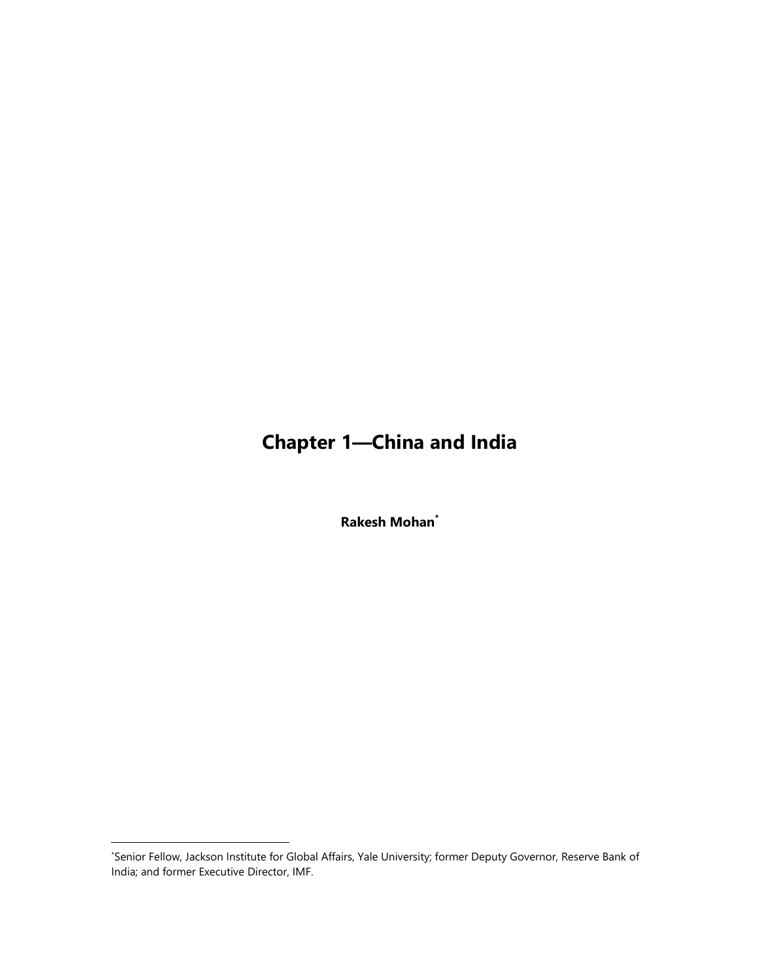# **Chapter 1—China and India**

**Rakesh Mohan\***

<sup>\*</sup> Senior Fellow, Jackson Institute for Global Affairs, Yale University; former Deputy Governor, Reserve Bank of India; and former Executive Director, IMF.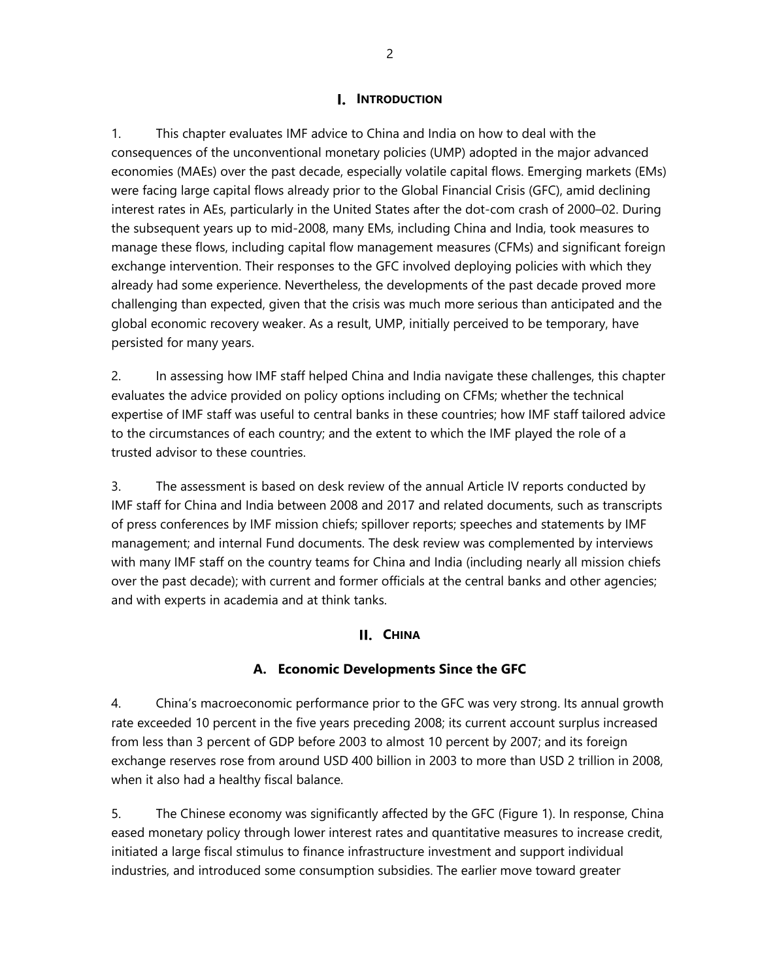## **I.** INTRODUCTION

1. This chapter evaluates IMF advice to China and India on how to deal with the consequences of the unconventional monetary policies (UMP) adopted in the major advanced economies (MAEs) over the past decade, especially volatile capital flows. Emerging markets (EMs) were facing large capital flows already prior to the Global Financial Crisis (GFC), amid declining interest rates in AEs, particularly in the United States after the dot-com crash of 2000–02. During the subsequent years up to mid-2008, many EMs, including China and India, took measures to manage these flows, including capital flow management measures (CFMs) and significant foreign exchange intervention. Their responses to the GFC involved deploying policies with which they already had some experience. Nevertheless, the developments of the past decade proved more challenging than expected, given that the crisis was much more serious than anticipated and the global economic recovery weaker. As a result, UMP, initially perceived to be temporary, have persisted for many years.

2. In assessing how IMF staff helped China and India navigate these challenges, this chapter evaluates the advice provided on policy options including on CFMs; whether the technical expertise of IMF staff was useful to central banks in these countries; how IMF staff tailored advice to the circumstances of each country; and the extent to which the IMF played the role of a trusted advisor to these countries.

3. The assessment is based on desk review of the annual Article IV reports conducted by IMF staff for China and India between 2008 and 2017 and related documents, such as transcripts of press conferences by IMF mission chiefs; spillover reports; speeches and statements by IMF management; and internal Fund documents. The desk review was complemented by interviews with many IMF staff on the country teams for China and India (including nearly all mission chiefs over the past decade); with current and former officials at the central banks and other agencies; and with experts in academia and at think tanks.

### **CHINA**

## **A. Economic Developments Since the GFC**

4. China's macroeconomic performance prior to the GFC was very strong. Its annual growth rate exceeded 10 percent in the five years preceding 2008; its current account surplus increased from less than 3 percent of GDP before 2003 to almost 10 percent by 2007; and its foreign exchange reserves rose from around USD 400 billion in 2003 to more than USD 2 trillion in 2008, when it also had a healthy fiscal balance.

5. The Chinese economy was significantly affected by the GFC (Figure 1). In response, China eased monetary policy through lower interest rates and quantitative measures to increase credit, initiated a large fiscal stimulus to finance infrastructure investment and support individual industries, and introduced some consumption subsidies. The earlier move toward greater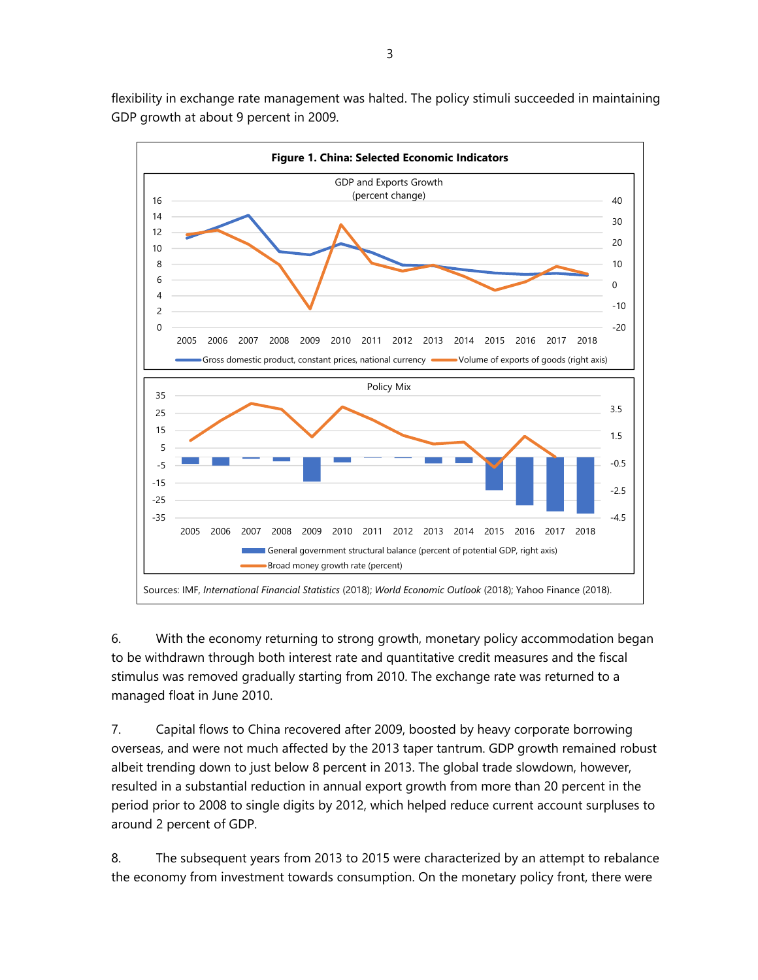flexibility in exchange rate management was halted. The policy stimuli succeeded in maintaining GDP growth at about 9 percent in 2009.



6. With the economy returning to strong growth, monetary policy accommodation began to be withdrawn through both interest rate and quantitative credit measures and the fiscal stimulus was removed gradually starting from 2010. The exchange rate was returned to a managed float in June 2010.

7. Capital flows to China recovered after 2009, boosted by heavy corporate borrowing overseas, and were not much affected by the 2013 taper tantrum. GDP growth remained robust albeit trending down to just below 8 percent in 2013. The global trade slowdown, however, resulted in a substantial reduction in annual export growth from more than 20 percent in the period prior to 2008 to single digits by 2012, which helped reduce current account surpluses to around 2 percent of GDP.

8. The subsequent years from 2013 to 2015 were characterized by an attempt to rebalance the economy from investment towards consumption. On the monetary policy front, there were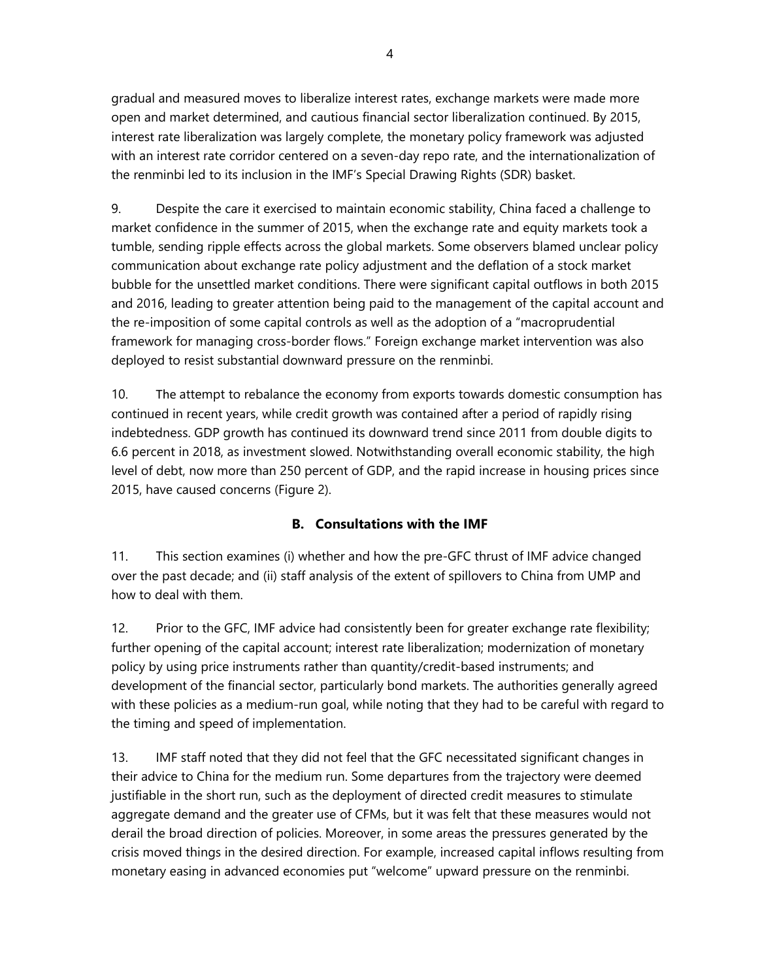gradual and measured moves to liberalize interest rates, exchange markets were made more open and market determined, and cautious financial sector liberalization continued. By 2015, interest rate liberalization was largely complete, the monetary policy framework was adjusted with an interest rate corridor centered on a seven-day repo rate, and the internationalization of the renminbi led to its inclusion in the IMF's Special Drawing Rights (SDR) basket.

9. Despite the care it exercised to maintain economic stability, China faced a challenge to market confidence in the summer of 2015, when the exchange rate and equity markets took a tumble, sending ripple effects across the global markets. Some observers blamed unclear policy communication about exchange rate policy adjustment and the deflation of a stock market bubble for the unsettled market conditions. There were significant capital outflows in both 2015 and 2016, leading to greater attention being paid to the management of the capital account and the re-imposition of some capital controls as well as the adoption of a "macroprudential framework for managing cross-border flows." Foreign exchange market intervention was also deployed to resist substantial downward pressure on the renminbi.

10. The attempt to rebalance the economy from exports towards domestic consumption has continued in recent years, while credit growth was contained after a period of rapidly rising indebtedness. GDP growth has continued its downward trend since 2011 from double digits to 6.6 percent in 2018, as investment slowed. Notwithstanding overall economic stability, the high level of debt, now more than 250 percent of GDP, and the rapid increase in housing prices since 2015, have caused concerns (Figure 2).

## **B. Consultations with the IMF**

11. This section examines (i) whether and how the pre-GFC thrust of IMF advice changed over the past decade; and (ii) staff analysis of the extent of spillovers to China from UMP and how to deal with them.

12. Prior to the GFC, IMF advice had consistently been for greater exchange rate flexibility; further opening of the capital account; interest rate liberalization; modernization of monetary policy by using price instruments rather than quantity/credit-based instruments; and development of the financial sector, particularly bond markets. The authorities generally agreed with these policies as a medium-run goal, while noting that they had to be careful with regard to the timing and speed of implementation.

13. IMF staff noted that they did not feel that the GFC necessitated significant changes in their advice to China for the medium run. Some departures from the trajectory were deemed justifiable in the short run, such as the deployment of directed credit measures to stimulate aggregate demand and the greater use of CFMs, but it was felt that these measures would not derail the broad direction of policies. Moreover, in some areas the pressures generated by the crisis moved things in the desired direction. For example, increased capital inflows resulting from monetary easing in advanced economies put "welcome" upward pressure on the renminbi.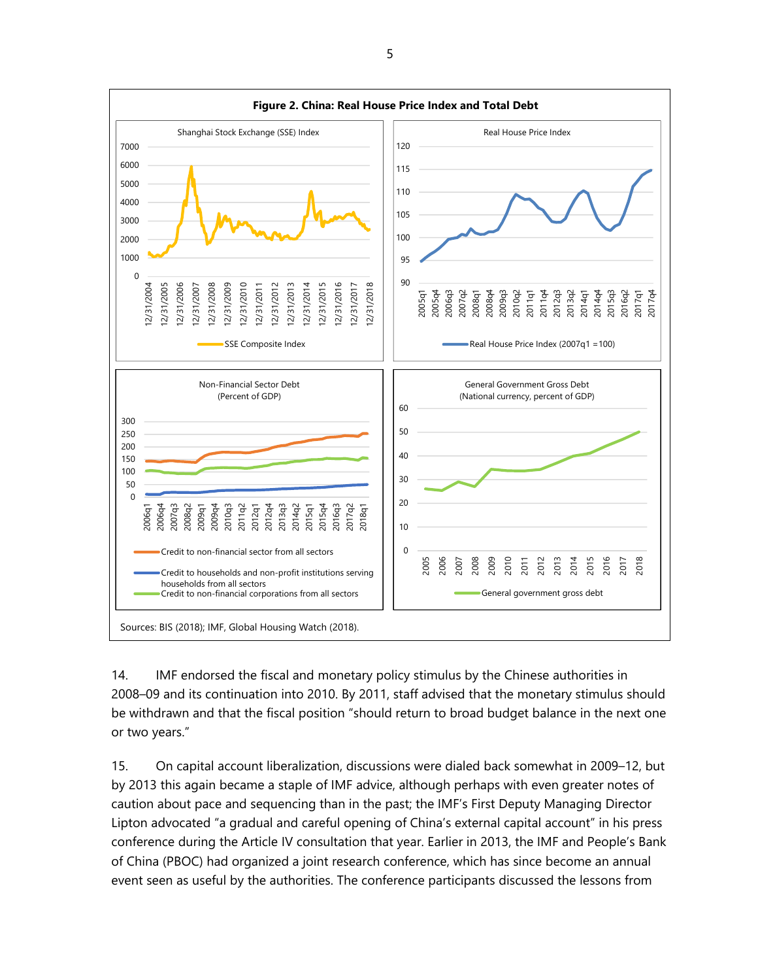

14. IMF endorsed the fiscal and monetary policy stimulus by the Chinese authorities in 2008–09 and its continuation into 2010. By 2011, staff advised that the monetary stimulus should be withdrawn and that the fiscal position "should return to broad budget balance in the next one or two years."

15. On capital account liberalization, discussions were dialed back somewhat in 2009–12, but by 2013 this again became a staple of IMF advice, although perhaps with even greater notes of caution about pace and sequencing than in the past; the IMF's First Deputy Managing Director Lipton advocated "a gradual and careful opening of China's external capital account" in his press conference during the Article IV consultation that year. Earlier in 2013, the IMF and People's Bank of China (PBOC) had organized a joint research conference, which has since become an annual event seen as useful by the authorities. The conference participants discussed the lessons from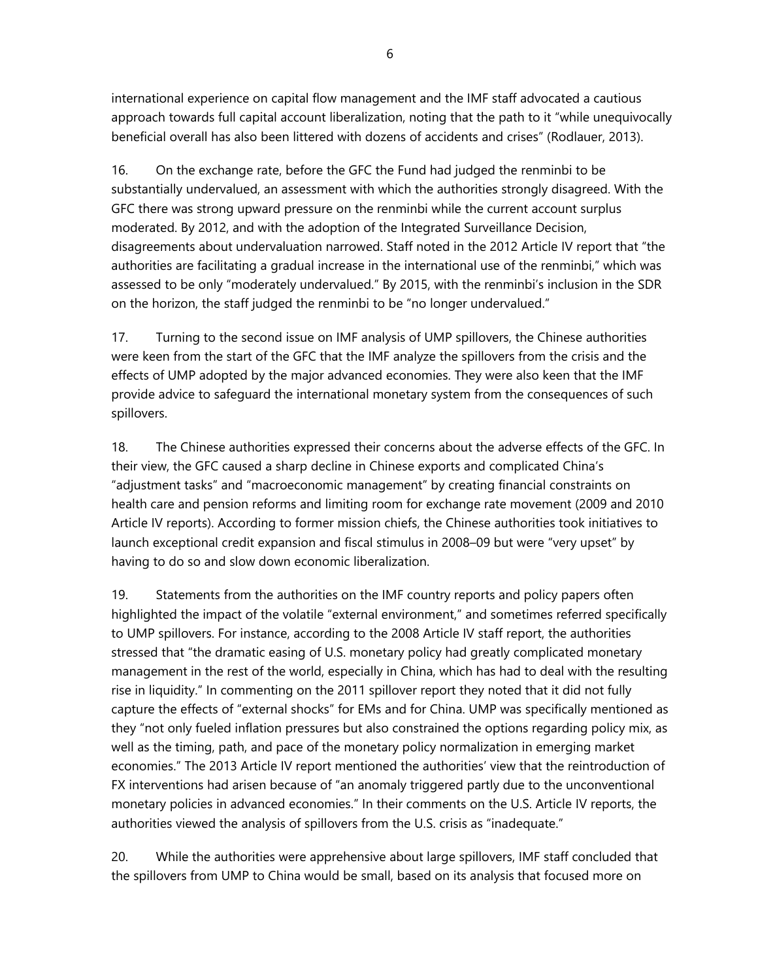international experience on capital flow management and the IMF staff advocated a cautious approach towards full capital account liberalization, noting that the path to it "while unequivocally beneficial overall has also been littered with dozens of accidents and crises" (Rodlauer, 2013).

16. On the exchange rate, before the GFC the Fund had judged the renminbi to be substantially undervalued, an assessment with which the authorities strongly disagreed. With the GFC there was strong upward pressure on the renminbi while the current account surplus moderated. By 2012, and with the adoption of the Integrated Surveillance Decision, disagreements about undervaluation narrowed. Staff noted in the 2012 Article IV report that "the authorities are facilitating a gradual increase in the international use of the renminbi," which was assessed to be only "moderately undervalued." By 2015, with the renminbi's inclusion in the SDR on the horizon, the staff judged the renminbi to be "no longer undervalued."

17. Turning to the second issue on IMF analysis of UMP spillovers, the Chinese authorities were keen from the start of the GFC that the IMF analyze the spillovers from the crisis and the effects of UMP adopted by the major advanced economies. They were also keen that the IMF provide advice to safeguard the international monetary system from the consequences of such spillovers.

18. The Chinese authorities expressed their concerns about the adverse effects of the GFC. In their view, the GFC caused a sharp decline in Chinese exports and complicated China's "adjustment tasks" and "macroeconomic management" by creating financial constraints on health care and pension reforms and limiting room for exchange rate movement (2009 and 2010 Article IV reports). According to former mission chiefs, the Chinese authorities took initiatives to launch exceptional credit expansion and fiscal stimulus in 2008–09 but were "very upset" by having to do so and slow down economic liberalization.

19. Statements from the authorities on the IMF country reports and policy papers often highlighted the impact of the volatile "external environment," and sometimes referred specifically to UMP spillovers. For instance, according to the 2008 Article IV staff report, the authorities stressed that "the dramatic easing of U.S. monetary policy had greatly complicated monetary management in the rest of the world, especially in China, which has had to deal with the resulting rise in liquidity." In commenting on the 2011 spillover report they noted that it did not fully capture the effects of "external shocks" for EMs and for China. UMP was specifically mentioned as they "not only fueled inflation pressures but also constrained the options regarding policy mix, as well as the timing, path, and pace of the monetary policy normalization in emerging market economies." The 2013 Article IV report mentioned the authorities' view that the reintroduction of FX interventions had arisen because of "an anomaly triggered partly due to the unconventional monetary policies in advanced economies." In their comments on the U.S. Article IV reports, the authorities viewed the analysis of spillovers from the U.S. crisis as "inadequate."

20. While the authorities were apprehensive about large spillovers, IMF staff concluded that the spillovers from UMP to China would be small, based on its analysis that focused more on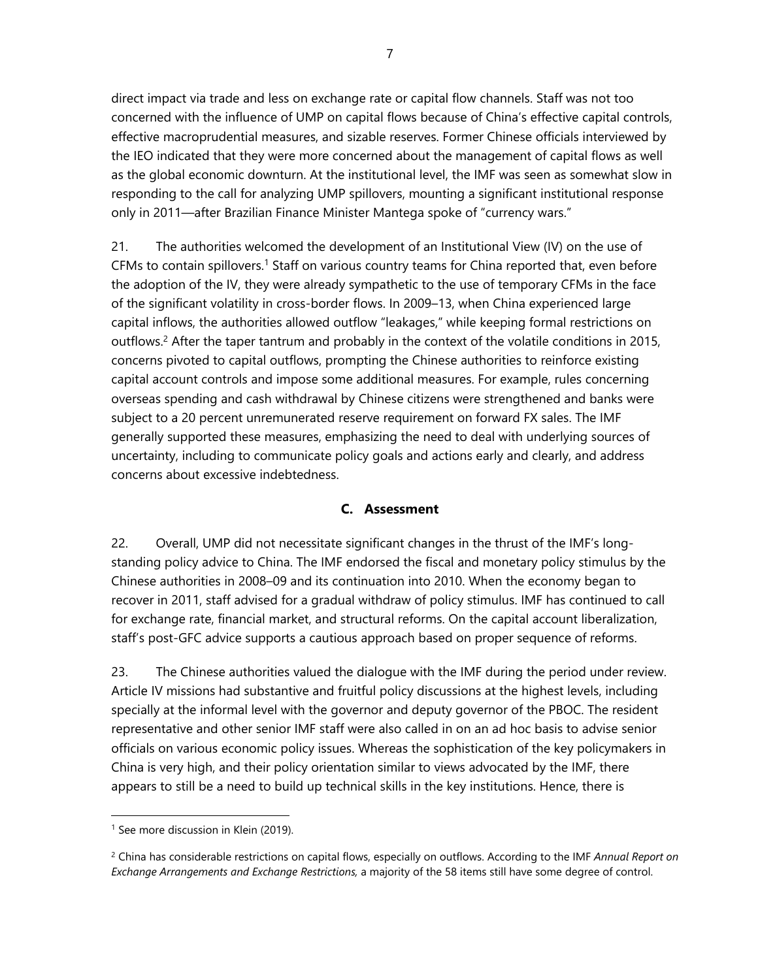direct impact via trade and less on exchange rate or capital flow channels. Staff was not too concerned with the influence of UMP on capital flows because of China's effective capital controls, effective macroprudential measures, and sizable reserves. Former Chinese officials interviewed by the IEO indicated that they were more concerned about the management of capital flows as well as the global economic downturn. At the institutional level, the IMF was seen as somewhat slow in responding to the call for analyzing UMP spillovers, mounting a significant institutional response only in 2011—after Brazilian Finance Minister Mantega spoke of "currency wars."

21. The authorities welcomed the development of an Institutional View (IV) on the use of CFMs to contain spillovers.<sup>1</sup> Staff on various country teams for China reported that, even before the adoption of the IV, they were already sympathetic to the use of temporary CFMs in the face of the significant volatility in cross-border flows. In 2009–13, when China experienced large capital inflows, the authorities allowed outflow "leakages," while keeping formal restrictions on outflows.<sup>2</sup> After the taper tantrum and probably in the context of the volatile conditions in 2015, concerns pivoted to capital outflows, prompting the Chinese authorities to reinforce existing capital account controls and impose some additional measures. For example, rules concerning overseas spending and cash withdrawal by Chinese citizens were strengthened and banks were subject to a 20 percent unremunerated reserve requirement on forward FX sales. The IMF generally supported these measures, emphasizing the need to deal with underlying sources of uncertainty, including to communicate policy goals and actions early and clearly, and address concerns about excessive indebtedness.

## **C. Assessment**

22. Overall, UMP did not necessitate significant changes in the thrust of the IMF's longstanding policy advice to China. The IMF endorsed the fiscal and monetary policy stimulus by the Chinese authorities in 2008–09 and its continuation into 2010. When the economy began to recover in 2011, staff advised for a gradual withdraw of policy stimulus. IMF has continued to call for exchange rate, financial market, and structural reforms. On the capital account liberalization, staff's post-GFC advice supports a cautious approach based on proper sequence of reforms.

23. The Chinese authorities valued the dialogue with the IMF during the period under review. Article IV missions had substantive and fruitful policy discussions at the highest levels, including specially at the informal level with the governor and deputy governor of the PBOC. The resident representative and other senior IMF staff were also called in on an ad hoc basis to advise senior officials on various economic policy issues. Whereas the sophistication of the key policymakers in China is very high, and their policy orientation similar to views advocated by the IMF, there appears to still be a need to build up technical skills in the key institutions. Hence, there is

<sup>&</sup>lt;sup>1</sup> See more discussion in Klein (2019).

<sup>2</sup> China has considerable restrictions on capital flows, especially on outflows. According to the IMF *Annual Report on Exchange Arrangements and Exchange Restrictions,* a majority of the 58 items still have some degree of control.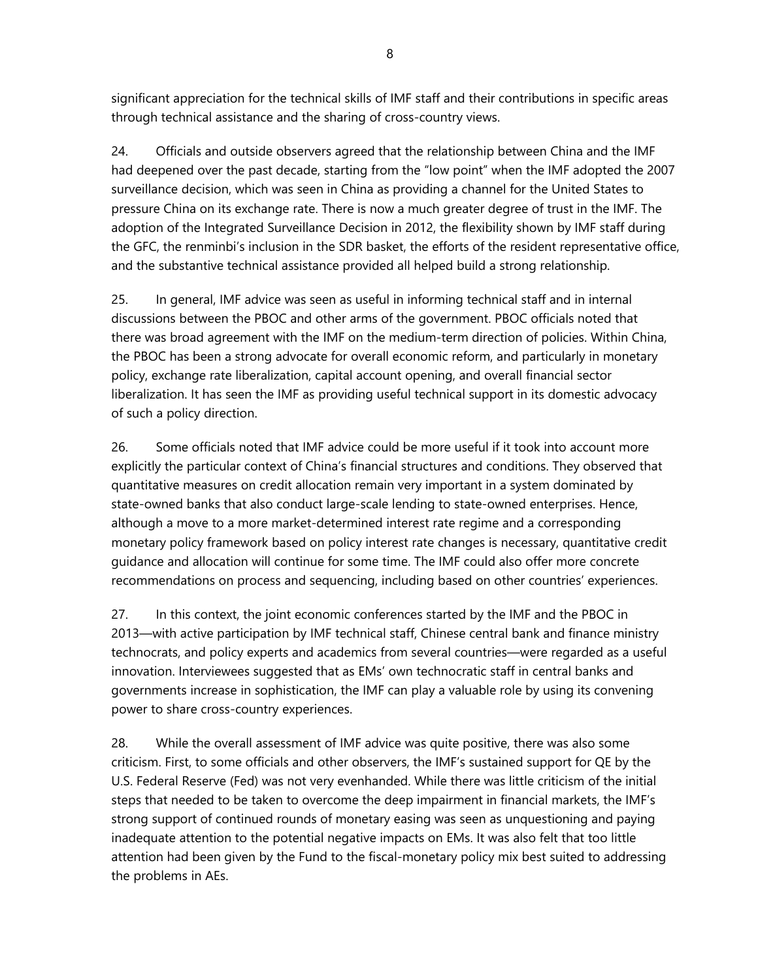significant appreciation for the technical skills of IMF staff and their contributions in specific areas through technical assistance and the sharing of cross-country views.

24. Officials and outside observers agreed that the relationship between China and the IMF had deepened over the past decade, starting from the "low point" when the IMF adopted the 2007 surveillance decision, which was seen in China as providing a channel for the United States to pressure China on its exchange rate. There is now a much greater degree of trust in the IMF. The adoption of the Integrated Surveillance Decision in 2012, the flexibility shown by IMF staff during the GFC, the renminbi's inclusion in the SDR basket, the efforts of the resident representative office, and the substantive technical assistance provided all helped build a strong relationship.

25. In general, IMF advice was seen as useful in informing technical staff and in internal discussions between the PBOC and other arms of the government. PBOC officials noted that there was broad agreement with the IMF on the medium-term direction of policies. Within China, the PBOC has been a strong advocate for overall economic reform, and particularly in monetary policy, exchange rate liberalization, capital account opening, and overall financial sector liberalization. It has seen the IMF as providing useful technical support in its domestic advocacy of such a policy direction.

26. Some officials noted that IMF advice could be more useful if it took into account more explicitly the particular context of China's financial structures and conditions. They observed that quantitative measures on credit allocation remain very important in a system dominated by state-owned banks that also conduct large-scale lending to state-owned enterprises. Hence, although a move to a more market-determined interest rate regime and a corresponding monetary policy framework based on policy interest rate changes is necessary, quantitative credit guidance and allocation will continue for some time. The IMF could also offer more concrete recommendations on process and sequencing, including based on other countries' experiences.

27. In this context, the joint economic conferences started by the IMF and the PBOC in 2013—with active participation by IMF technical staff, Chinese central bank and finance ministry technocrats, and policy experts and academics from several countries—were regarded as a useful innovation. Interviewees suggested that as EMs' own technocratic staff in central banks and governments increase in sophistication, the IMF can play a valuable role by using its convening power to share cross-country experiences.

28. While the overall assessment of IMF advice was quite positive, there was also some criticism. First, to some officials and other observers, the IMF's sustained support for QE by the U.S. Federal Reserve (Fed) was not very evenhanded. While there was little criticism of the initial steps that needed to be taken to overcome the deep impairment in financial markets, the IMF's strong support of continued rounds of monetary easing was seen as unquestioning and paying inadequate attention to the potential negative impacts on EMs. It was also felt that too little attention had been given by the Fund to the fiscal-monetary policy mix best suited to addressing the problems in AEs.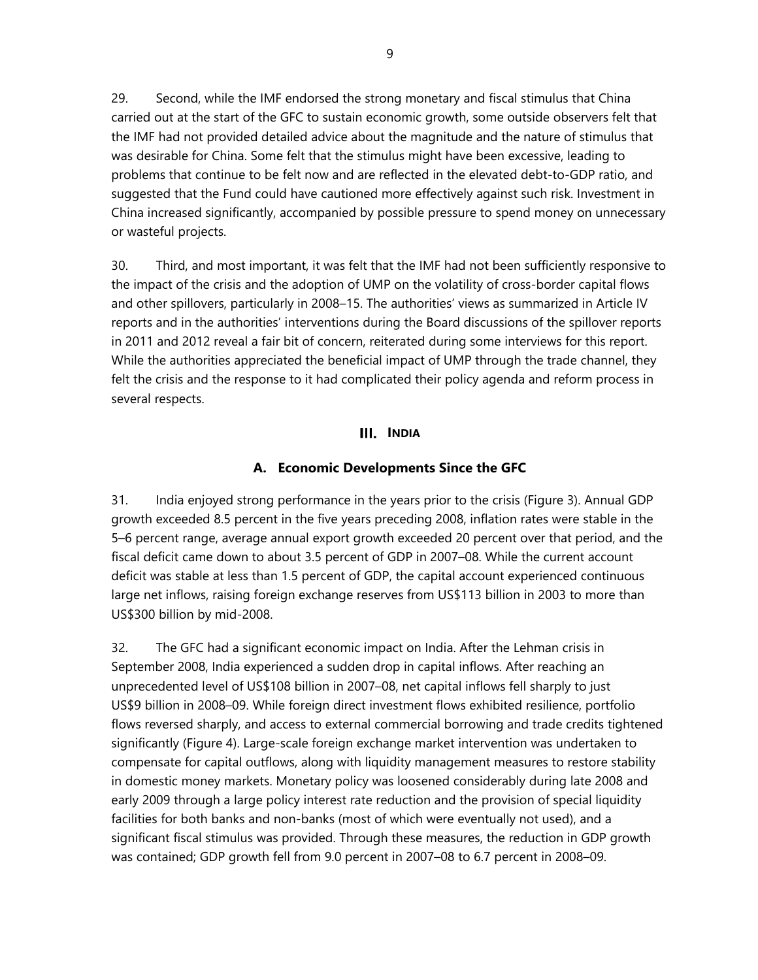29. Second, while the IMF endorsed the strong monetary and fiscal stimulus that China carried out at the start of the GFC to sustain economic growth, some outside observers felt that the IMF had not provided detailed advice about the magnitude and the nature of stimulus that was desirable for China. Some felt that the stimulus might have been excessive, leading to problems that continue to be felt now and are reflected in the elevated debt-to-GDP ratio, and suggested that the Fund could have cautioned more effectively against such risk. Investment in China increased significantly, accompanied by possible pressure to spend money on unnecessary or wasteful projects.

30. Third, and most important, it was felt that the IMF had not been sufficiently responsive to the impact of the crisis and the adoption of UMP on the volatility of cross-border capital flows and other spillovers, particularly in 2008–15. The authorities' views as summarized in Article IV reports and in the authorities' interventions during the Board discussions of the spillover reports in 2011 and 2012 reveal a fair bit of concern, reiterated during some interviews for this report. While the authorities appreciated the beneficial impact of UMP through the trade channel, they felt the crisis and the response to it had complicated their policy agenda and reform process in several respects.

#### **INDIA**

#### **A. Economic Developments Since the GFC**

31. India enjoyed strong performance in the years prior to the crisis (Figure 3). Annual GDP growth exceeded 8.5 percent in the five years preceding 2008, inflation rates were stable in the 5–6 percent range, average annual export growth exceeded 20 percent over that period, and the fiscal deficit came down to about 3.5 percent of GDP in 2007–08. While the current account deficit was stable at less than 1.5 percent of GDP, the capital account experienced continuous large net inflows, raising foreign exchange reserves from US\$113 billion in 2003 to more than US\$300 billion by mid-2008.

32. The GFC had a significant economic impact on India. After the Lehman crisis in September 2008, India experienced a sudden drop in capital inflows. After reaching an unprecedented level of US\$108 billion in 2007–08, net capital inflows fell sharply to just US\$9 billion in 2008–09. While foreign direct investment flows exhibited resilience, portfolio flows reversed sharply, and access to external commercial borrowing and trade credits tightened significantly (Figure 4). Large-scale foreign exchange market intervention was undertaken to compensate for capital outflows, along with liquidity management measures to restore stability in domestic money markets. Monetary policy was loosened considerably during late 2008 and early 2009 through a large policy interest rate reduction and the provision of special liquidity facilities for both banks and non-banks (most of which were eventually not used), and a significant fiscal stimulus was provided. Through these measures, the reduction in GDP growth was contained; GDP growth fell from 9.0 percent in 2007–08 to 6.7 percent in 2008–09.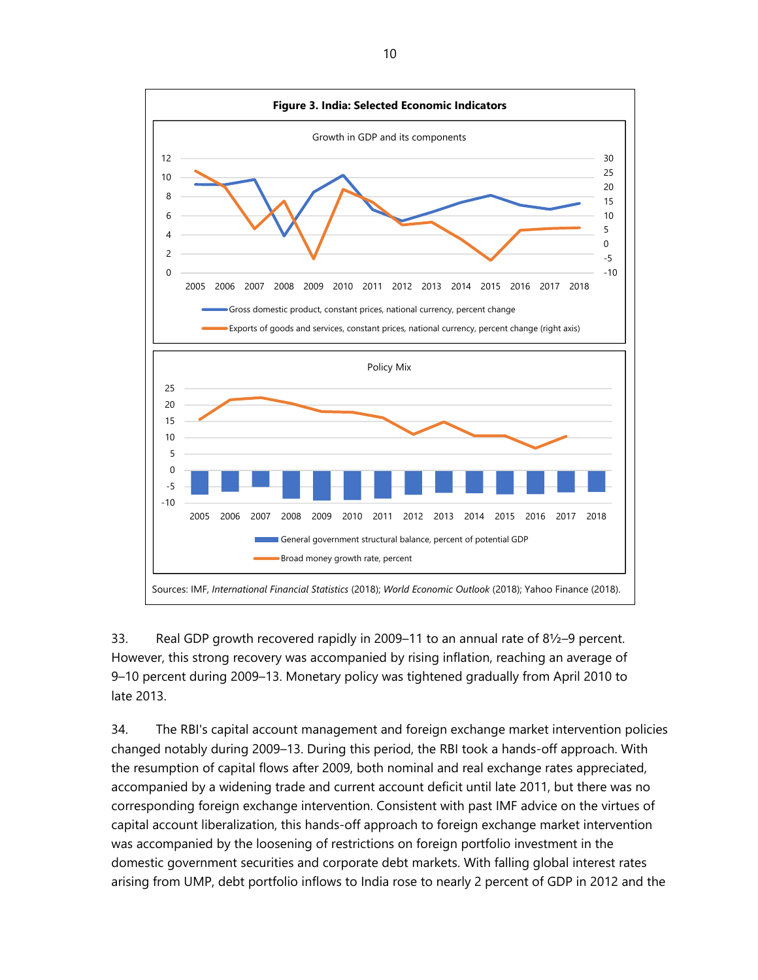

33. Real GDP growth recovered rapidly in 2009–11 to an annual rate of 8½–9 percent. However, this strong recovery was accompanied by rising inflation, reaching an average of 9–10 percent during 2009–13. Monetary policy was tightened gradually from April 2010 to late 2013.

34. The RBI's capital account management and foreign exchange market intervention policies changed notably during 2009–13. During this period, the RBI took a hands-off approach. With the resumption of capital flows after 2009, both nominal and real exchange rates appreciated, accompanied by a widening trade and current account deficit until late 2011, but there was no corresponding foreign exchange intervention. Consistent with past IMF advice on the virtues of capital account liberalization, this hands-off approach to foreign exchange market intervention was accompanied by the loosening of restrictions on foreign portfolio investment in the domestic government securities and corporate debt markets. With falling global interest rates arising from UMP, debt portfolio inflows to India rose to nearly 2 percent of GDP in 2012 and the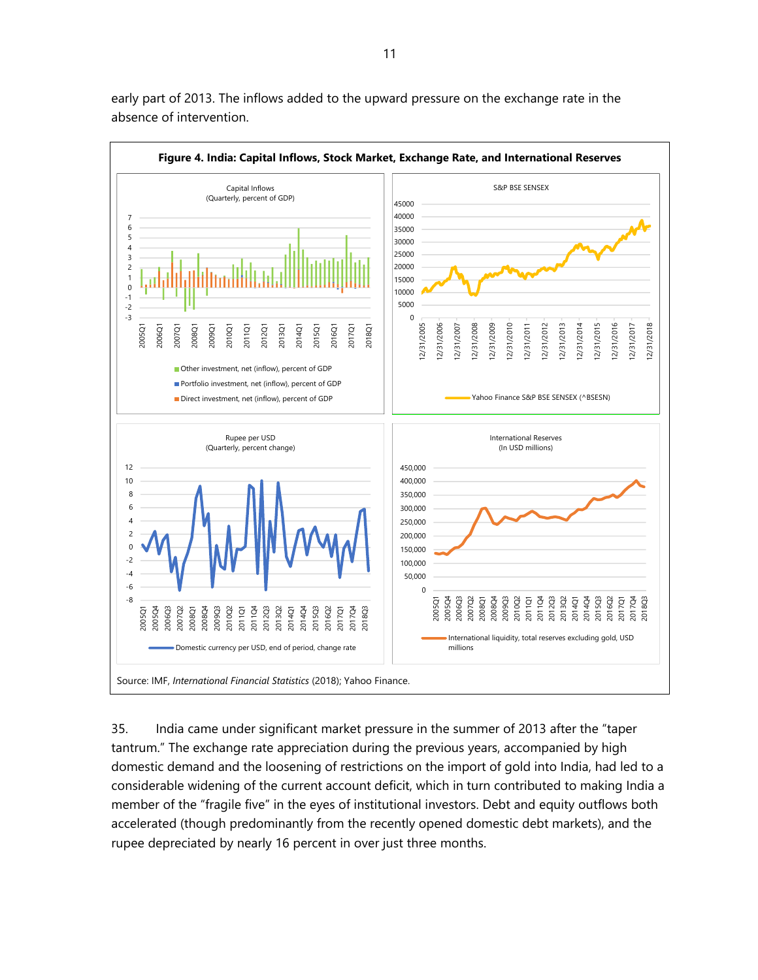

early part of 2013. The inflows added to the upward pressure on the exchange rate in the absence of intervention.

35. India came under significant market pressure in the summer of 2013 after the "taper tantrum." The exchange rate appreciation during the previous years, accompanied by high domestic demand and the loosening of restrictions on the import of gold into India, had led to a considerable widening of the current account deficit, which in turn contributed to making India a member of the "fragile five" in the eyes of institutional investors. Debt and equity outflows both accelerated (though predominantly from the recently opened domestic debt markets), and the rupee depreciated by nearly 16 percent in over just three months.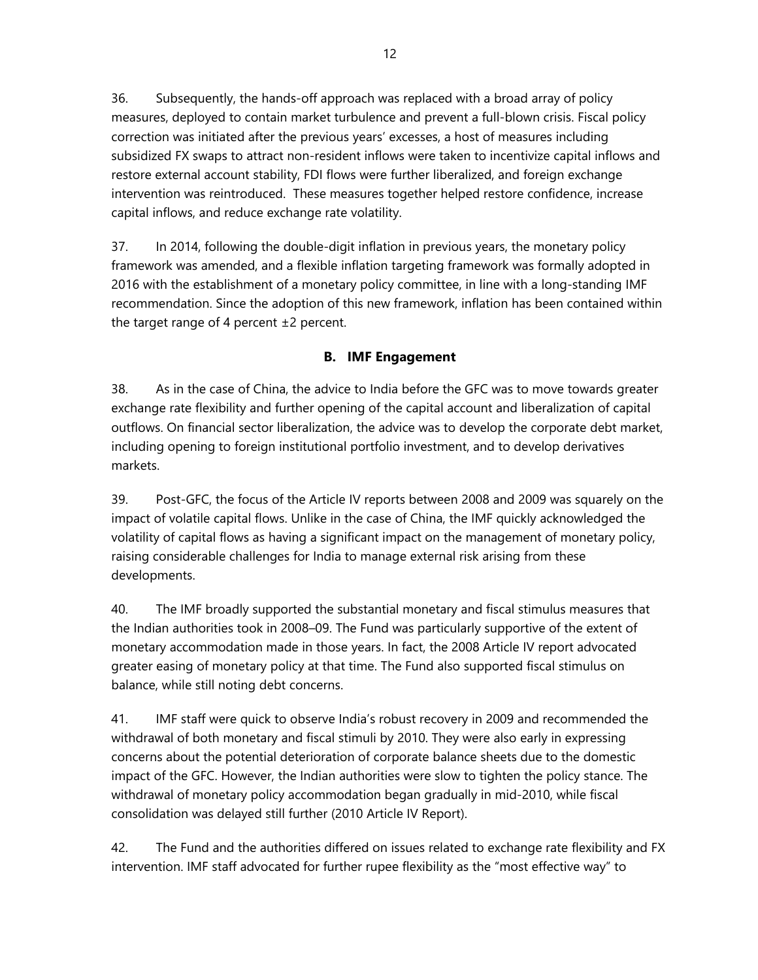36. Subsequently, the hands-off approach was replaced with a broad array of policy measures, deployed to contain market turbulence and prevent a full-blown crisis. Fiscal policy correction was initiated after the previous years' excesses, a host of measures including subsidized FX swaps to attract non-resident inflows were taken to incentivize capital inflows and restore external account stability, FDI flows were further liberalized, and foreign exchange intervention was reintroduced. These measures together helped restore confidence, increase capital inflows, and reduce exchange rate volatility.

37. In 2014, following the double-digit inflation in previous years, the monetary policy framework was amended, and a flexible inflation targeting framework was formally adopted in 2016 with the establishment of a monetary policy committee, in line with a long-standing IMF recommendation. Since the adoption of this new framework, inflation has been contained within the target range of 4 percent  $\pm 2$  percent.

## **B. IMF Engagement**

38. As in the case of China, the advice to India before the GFC was to move towards greater exchange rate flexibility and further opening of the capital account and liberalization of capital outflows. On financial sector liberalization, the advice was to develop the corporate debt market, including opening to foreign institutional portfolio investment, and to develop derivatives markets.

39. Post-GFC, the focus of the Article IV reports between 2008 and 2009 was squarely on the impact of volatile capital flows. Unlike in the case of China, the IMF quickly acknowledged the volatility of capital flows as having a significant impact on the management of monetary policy, raising considerable challenges for India to manage external risk arising from these developments.

40. The IMF broadly supported the substantial monetary and fiscal stimulus measures that the Indian authorities took in 2008–09. The Fund was particularly supportive of the extent of monetary accommodation made in those years. In fact, the 2008 Article IV report advocated greater easing of monetary policy at that time. The Fund also supported fiscal stimulus on balance, while still noting debt concerns.

41. IMF staff were quick to observe India's robust recovery in 2009 and recommended the withdrawal of both monetary and fiscal stimuli by 2010. They were also early in expressing concerns about the potential deterioration of corporate balance sheets due to the domestic impact of the GFC. However, the Indian authorities were slow to tighten the policy stance. The withdrawal of monetary policy accommodation began gradually in mid-2010, while fiscal consolidation was delayed still further (2010 Article IV Report).

42. The Fund and the authorities differed on issues related to exchange rate flexibility and FX intervention. IMF staff advocated for further rupee flexibility as the "most effective way" to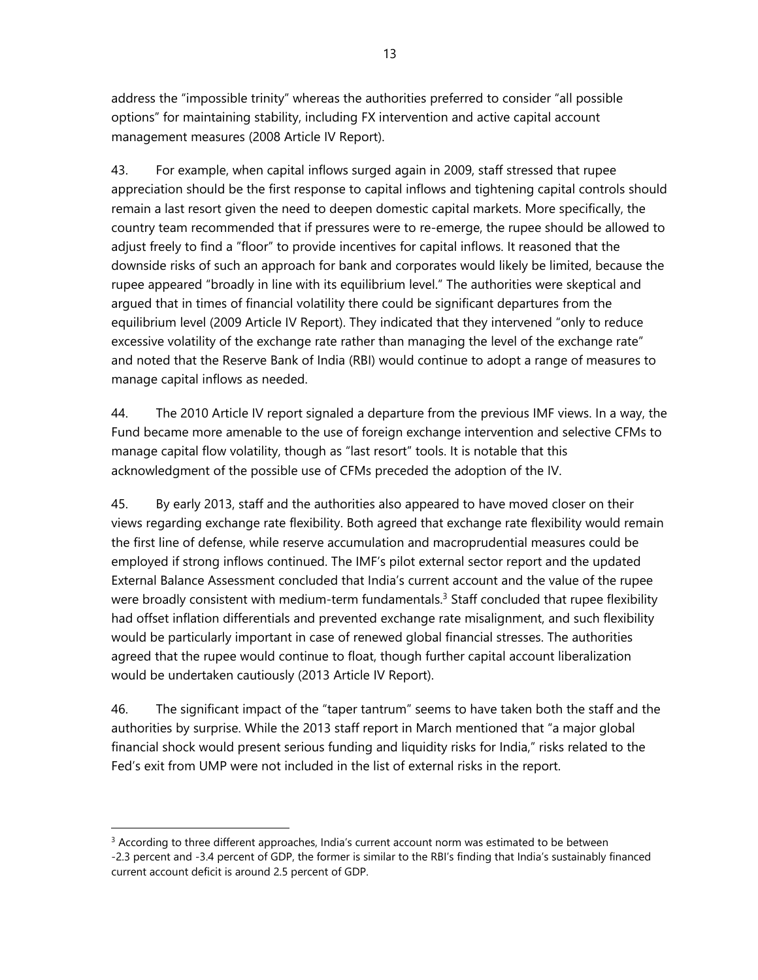address the "impossible trinity" whereas the authorities preferred to consider "all possible options" for maintaining stability, including FX intervention and active capital account management measures (2008 Article IV Report).

43. For example, when capital inflows surged again in 2009, staff stressed that rupee appreciation should be the first response to capital inflows and tightening capital controls should remain a last resort given the need to deepen domestic capital markets. More specifically, the country team recommended that if pressures were to re-emerge, the rupee should be allowed to adjust freely to find a "floor" to provide incentives for capital inflows. It reasoned that the downside risks of such an approach for bank and corporates would likely be limited, because the rupee appeared "broadly in line with its equilibrium level." The authorities were skeptical and argued that in times of financial volatility there could be significant departures from the equilibrium level (2009 Article IV Report). They indicated that they intervened "only to reduce excessive volatility of the exchange rate rather than managing the level of the exchange rate" and noted that the Reserve Bank of India (RBI) would continue to adopt a range of measures to manage capital inflows as needed.

44. The 2010 Article IV report signaled a departure from the previous IMF views. In a way, the Fund became more amenable to the use of foreign exchange intervention and selective CFMs to manage capital flow volatility, though as "last resort" tools. It is notable that this acknowledgment of the possible use of CFMs preceded the adoption of the IV.

45. By early 2013, staff and the authorities also appeared to have moved closer on their views regarding exchange rate flexibility. Both agreed that exchange rate flexibility would remain the first line of defense, while reserve accumulation and macroprudential measures could be employed if strong inflows continued. The IMF's pilot external sector report and the updated External Balance Assessment concluded that India's current account and the value of the rupee were broadly consistent with medium-term fundamentals.<sup>3</sup> Staff concluded that rupee flexibility had offset inflation differentials and prevented exchange rate misalignment, and such flexibility would be particularly important in case of renewed global financial stresses. The authorities agreed that the rupee would continue to float, though further capital account liberalization would be undertaken cautiously (2013 Article IV Report).

46. The significant impact of the "taper tantrum" seems to have taken both the staff and the authorities by surprise. While the 2013 staff report in March mentioned that "a major global financial shock would present serious funding and liquidity risks for India," risks related to the Fed's exit from UMP were not included in the list of external risks in the report.

-

<sup>&</sup>lt;sup>3</sup> According to three different approaches, India's current account norm was estimated to be between -2.3 percent and -3.4 percent of GDP, the former is similar to the RBI's finding that India's sustainably financed current account deficit is around 2.5 percent of GDP.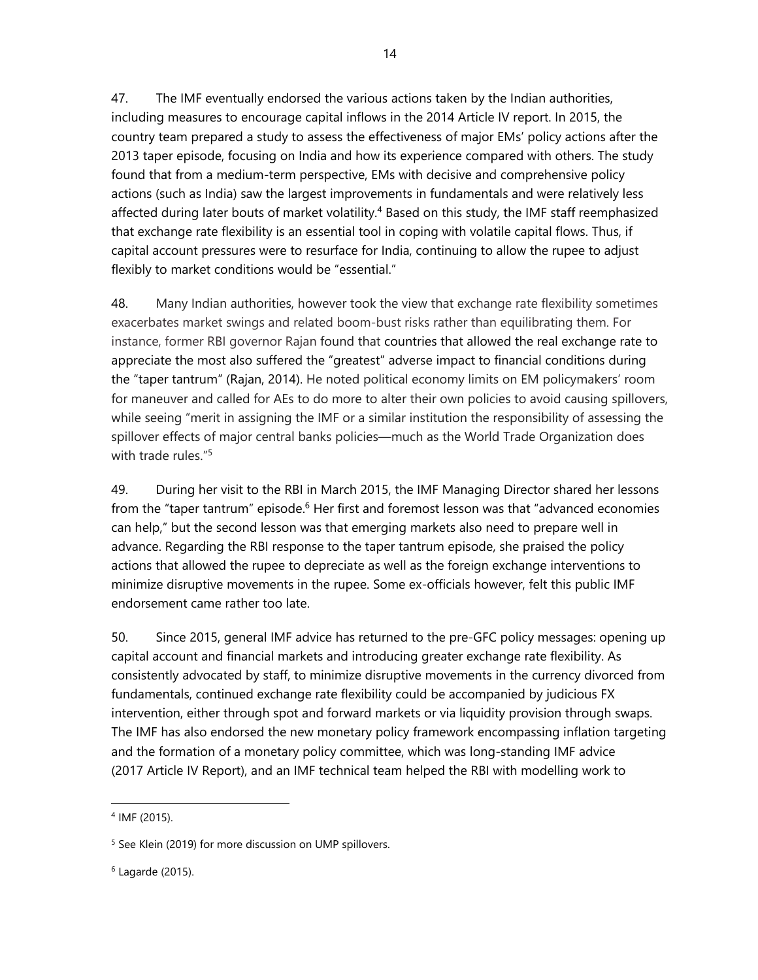47. The IMF eventually endorsed the various actions taken by the Indian authorities, including measures to encourage capital inflows in the 2014 Article IV report. In 2015, the country team prepared a study to assess the effectiveness of major EMs' policy actions after the 2013 taper episode, focusing on India and how its experience compared with others. The study found that from a medium-term perspective, EMs with decisive and comprehensive policy actions (such as India) saw the largest improvements in fundamentals and were relatively less affected during later bouts of market volatility.<sup>4</sup> Based on this study, the IMF staff reemphasized that exchange rate flexibility is an essential tool in coping with volatile capital flows. Thus, if capital account pressures were to resurface for India, continuing to allow the rupee to adjust flexibly to market conditions would be "essential."

48. Many Indian authorities, however took the view that exchange rate flexibility sometimes exacerbates market swings and related boom-bust risks rather than equilibrating them. For instance, former RBI governor Rajan found that countries that allowed the real exchange rate to appreciate the most also suffered the "greatest" adverse impact to financial conditions during the "taper tantrum" (Rajan, 2014). He noted political economy limits on EM policymakers' room for maneuver and called for AEs to do more to alter their own policies to avoid causing spillovers, while seeing "merit in assigning the IMF or a similar institution the responsibility of assessing the spillover effects of major central banks policies—much as the World Trade Organization does with trade rules."<sup>5</sup>

49. During her visit to the RBI in March 2015, the IMF Managing Director shared her lessons from the "taper tantrum" episode.<sup>6</sup> Her first and foremost lesson was that "advanced economies can help," but the second lesson was that emerging markets also need to prepare well in advance. Regarding the RBI response to the taper tantrum episode, she praised the policy actions that allowed the rupee to depreciate as well as the foreign exchange interventions to minimize disruptive movements in the rupee. Some ex-officials however, felt this public IMF endorsement came rather too late.

50. Since 2015, general IMF advice has returned to the pre-GFC policy messages: opening up capital account and financial markets and introducing greater exchange rate flexibility. As consistently advocated by staff, to minimize disruptive movements in the currency divorced from fundamentals, continued exchange rate flexibility could be accompanied by judicious FX intervention, either through spot and forward markets or via liquidity provision through swaps. The IMF has also endorsed the new monetary policy framework encompassing inflation targeting and the formation of a monetary policy committee, which was long-standing IMF advice (2017 Article IV Report), and an IMF technical team helped the RBI with modelling work to

-

<sup>4</sup> IMF (2015).

<sup>&</sup>lt;sup>5</sup> See Klein (2019) for more discussion on UMP spillovers.

<sup>6</sup> Lagarde (2015).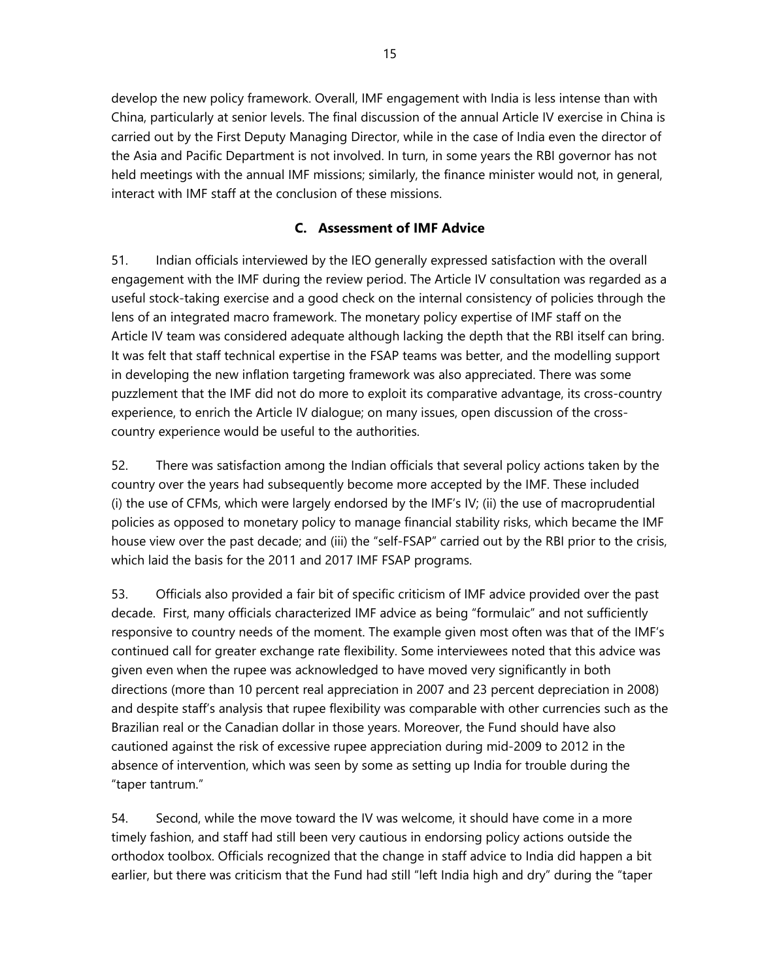develop the new policy framework. Overall, IMF engagement with India is less intense than with China, particularly at senior levels. The final discussion of the annual Article IV exercise in China is carried out by the First Deputy Managing Director, while in the case of India even the director of the Asia and Pacific Department is not involved. In turn, in some years the RBI governor has not held meetings with the annual IMF missions; similarly, the finance minister would not, in general, interact with IMF staff at the conclusion of these missions.

## **C. Assessment of IMF Advice**

51. Indian officials interviewed by the IEO generally expressed satisfaction with the overall engagement with the IMF during the review period. The Article IV consultation was regarded as a useful stock-taking exercise and a good check on the internal consistency of policies through the lens of an integrated macro framework. The monetary policy expertise of IMF staff on the Article IV team was considered adequate although lacking the depth that the RBI itself can bring. It was felt that staff technical expertise in the FSAP teams was better, and the modelling support in developing the new inflation targeting framework was also appreciated. There was some puzzlement that the IMF did not do more to exploit its comparative advantage, its cross-country experience, to enrich the Article IV dialogue; on many issues, open discussion of the crosscountry experience would be useful to the authorities.

52. There was satisfaction among the Indian officials that several policy actions taken by the country over the years had subsequently become more accepted by the IMF. These included (i) the use of CFMs, which were largely endorsed by the IMF's IV; (ii) the use of macroprudential policies as opposed to monetary policy to manage financial stability risks, which became the IMF house view over the past decade; and (iii) the "self-FSAP" carried out by the RBI prior to the crisis, which laid the basis for the 2011 and 2017 IMF FSAP programs.

53. Officials also provided a fair bit of specific criticism of IMF advice provided over the past decade. First, many officials characterized IMF advice as being "formulaic" and not sufficiently responsive to country needs of the moment. The example given most often was that of the IMF's continued call for greater exchange rate flexibility. Some interviewees noted that this advice was given even when the rupee was acknowledged to have moved very significantly in both directions (more than 10 percent real appreciation in 2007 and 23 percent depreciation in 2008) and despite staff's analysis that rupee flexibility was comparable with other currencies such as the Brazilian real or the Canadian dollar in those years. Moreover, the Fund should have also cautioned against the risk of excessive rupee appreciation during mid-2009 to 2012 in the absence of intervention, which was seen by some as setting up India for trouble during the "taper tantrum."

54. Second, while the move toward the IV was welcome, it should have come in a more timely fashion, and staff had still been very cautious in endorsing policy actions outside the orthodox toolbox. Officials recognized that the change in staff advice to India did happen a bit earlier, but there was criticism that the Fund had still "left India high and dry" during the "taper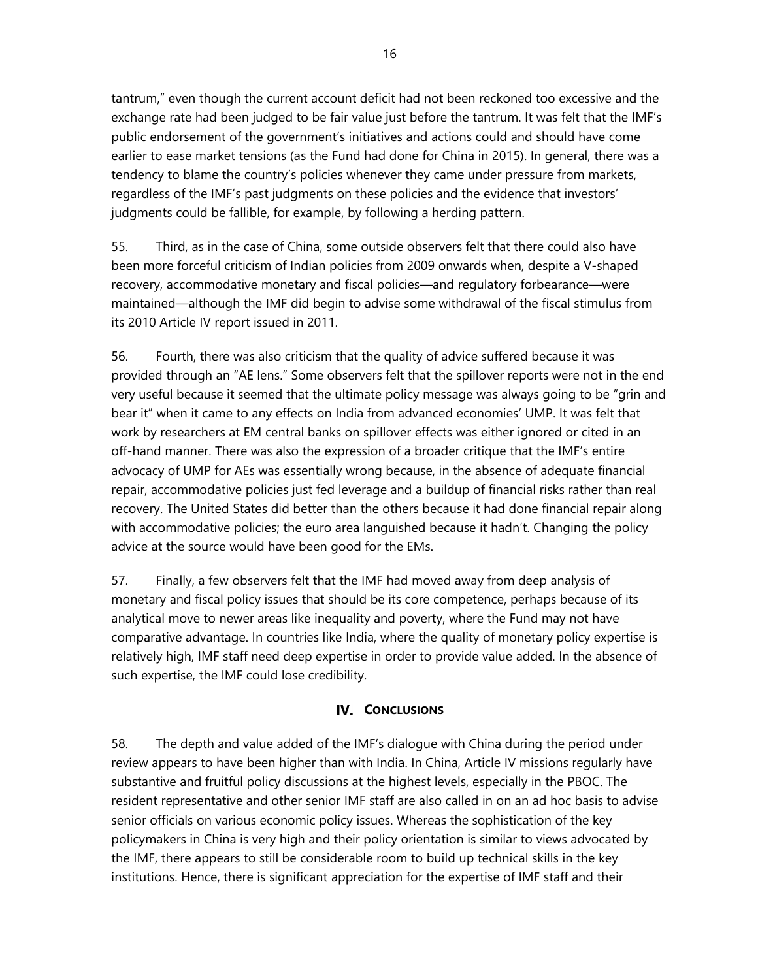tantrum," even though the current account deficit had not been reckoned too excessive and the exchange rate had been judged to be fair value just before the tantrum. It was felt that the IMF's public endorsement of the government's initiatives and actions could and should have come earlier to ease market tensions (as the Fund had done for China in 2015). In general, there was a tendency to blame the country's policies whenever they came under pressure from markets, regardless of the IMF's past judgments on these policies and the evidence that investors' judgments could be fallible, for example, by following a herding pattern.

55. Third, as in the case of China, some outside observers felt that there could also have been more forceful criticism of Indian policies from 2009 onwards when, despite a V-shaped recovery, accommodative monetary and fiscal policies—and regulatory forbearance—were maintained—although the IMF did begin to advise some withdrawal of the fiscal stimulus from its 2010 Article IV report issued in 2011.

56. Fourth, there was also criticism that the quality of advice suffered because it was provided through an "AE lens." Some observers felt that the spillover reports were not in the end very useful because it seemed that the ultimate policy message was always going to be "grin and bear it" when it came to any effects on India from advanced economies' UMP. It was felt that work by researchers at EM central banks on spillover effects was either ignored or cited in an off-hand manner. There was also the expression of a broader critique that the IMF's entire advocacy of UMP for AEs was essentially wrong because, in the absence of adequate financial repair, accommodative policies just fed leverage and a buildup of financial risks rather than real recovery. The United States did better than the others because it had done financial repair along with accommodative policies; the euro area languished because it hadn't. Changing the policy advice at the source would have been good for the EMs.

57. Finally, a few observers felt that the IMF had moved away from deep analysis of monetary and fiscal policy issues that should be its core competence, perhaps because of its analytical move to newer areas like inequality and poverty, where the Fund may not have comparative advantage. In countries like India, where the quality of monetary policy expertise is relatively high, IMF staff need deep expertise in order to provide value added. In the absence of such expertise, the IMF could lose credibility.

### **IV. CONCLUSIONS**

58. The depth and value added of the IMF's dialogue with China during the period under review appears to have been higher than with India. In China, Article IV missions regularly have substantive and fruitful policy discussions at the highest levels, especially in the PBOC. The resident representative and other senior IMF staff are also called in on an ad hoc basis to advise senior officials on various economic policy issues. Whereas the sophistication of the key policymakers in China is very high and their policy orientation is similar to views advocated by the IMF, there appears to still be considerable room to build up technical skills in the key institutions. Hence, there is significant appreciation for the expertise of IMF staff and their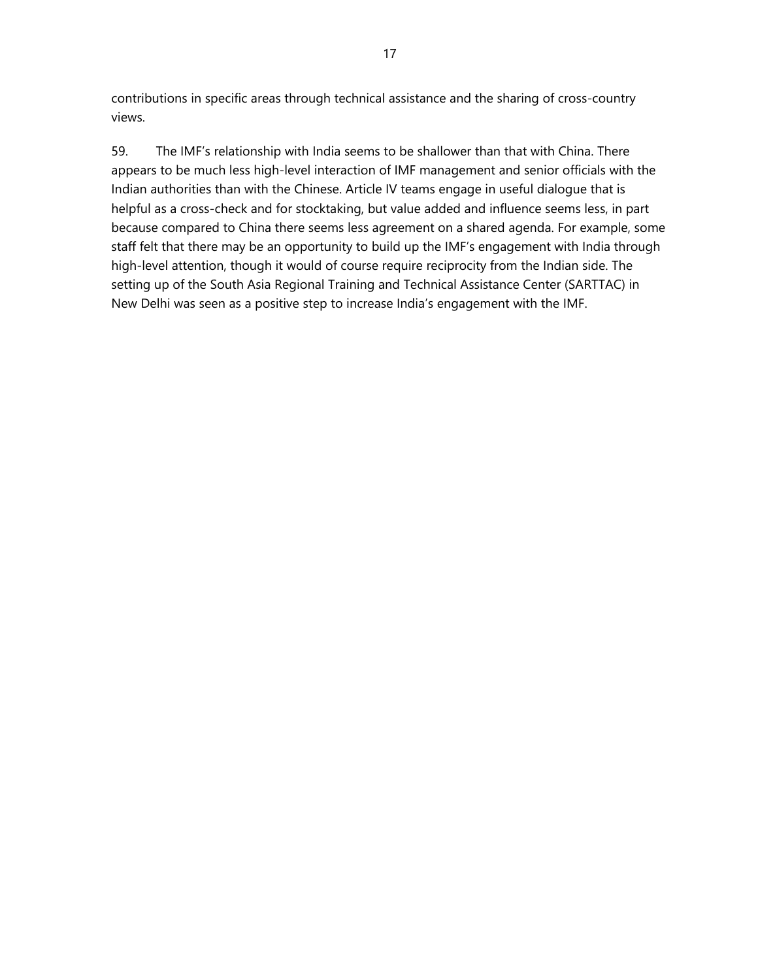contributions in specific areas through technical assistance and the sharing of cross-country views.

59. The IMF's relationship with India seems to be shallower than that with China. There appears to be much less high-level interaction of IMF management and senior officials with the Indian authorities than with the Chinese. Article IV teams engage in useful dialogue that is helpful as a cross-check and for stocktaking, but value added and influence seems less, in part because compared to China there seems less agreement on a shared agenda. For example, some staff felt that there may be an opportunity to build up the IMF's engagement with India through high-level attention, though it would of course require reciprocity from the Indian side. The setting up of the South Asia Regional Training and Technical Assistance Center (SARTTAC) in New Delhi was seen as a positive step to increase India's engagement with the IMF.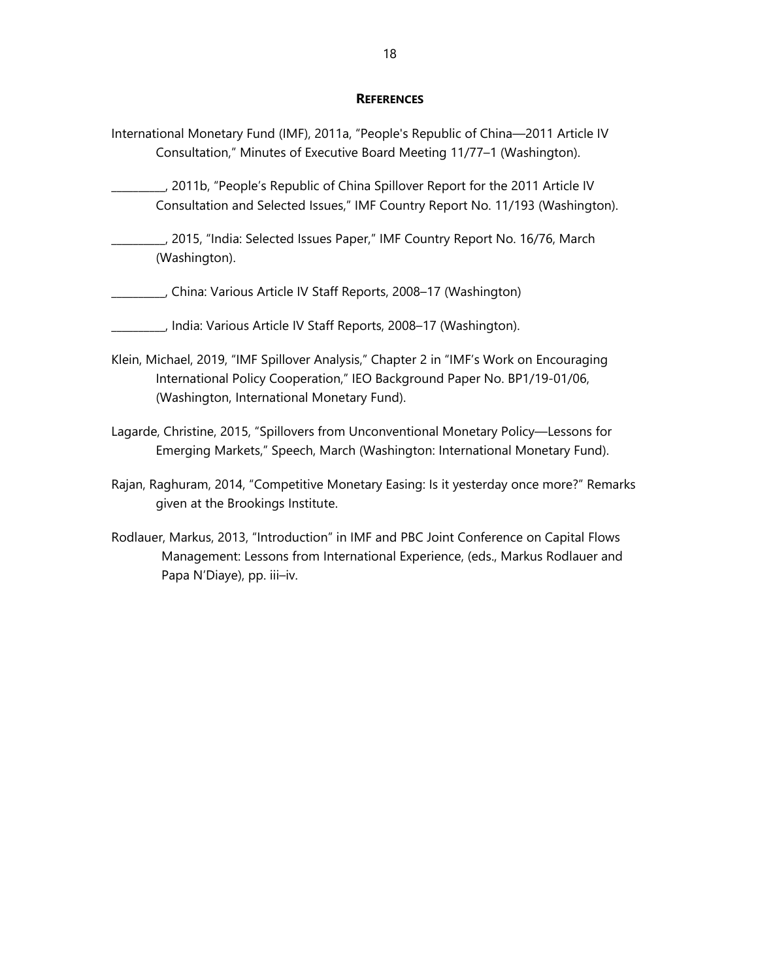#### **REFERENCES**

- International Monetary Fund (IMF), 2011a, "People's Republic of China—2011 Article IV Consultation," Minutes of Executive Board Meeting 11/77–1 (Washington).
- \_\_\_\_\_\_\_\_\_\_, 2011b, "People's Republic of China Spillover Report for the 2011 Article IV Consultation and Selected Issues," IMF Country Report No. 11/193 (Washington).
- \_\_\_\_\_\_\_\_\_\_, 2015, "India: Selected Issues Paper," IMF Country Report No. 16/76, March (Washington).
- \_\_\_\_\_\_\_\_\_\_, China: Various Article IV Staff Reports, 2008–17 (Washington)
- \_\_\_\_\_\_\_\_\_\_, India: Various Article IV Staff Reports, 2008–17 (Washington).
- Klein, Michael, 2019, "IMF Spillover Analysis," Chapter 2 in "IMF's Work on Encouraging International Policy Cooperation," IEO Background Paper No. BP1/19-01/06, (Washington, International Monetary Fund).
- Lagarde, Christine, 2015, "Spillovers from Unconventional Monetary Policy—Lessons for Emerging Markets," Speech, March (Washington: International Monetary Fund).
- Rajan, Raghuram, 2014, "Competitive Monetary Easing: Is it yesterday once more?" Remarks given at the Brookings Institute.
- Rodlauer, Markus, 2013, "Introduction" in IMF and PBC Joint Conference on Capital Flows Management: Lessons from International Experience, (eds., Markus Rodlauer and Papa N'Diaye), pp. iii–iv.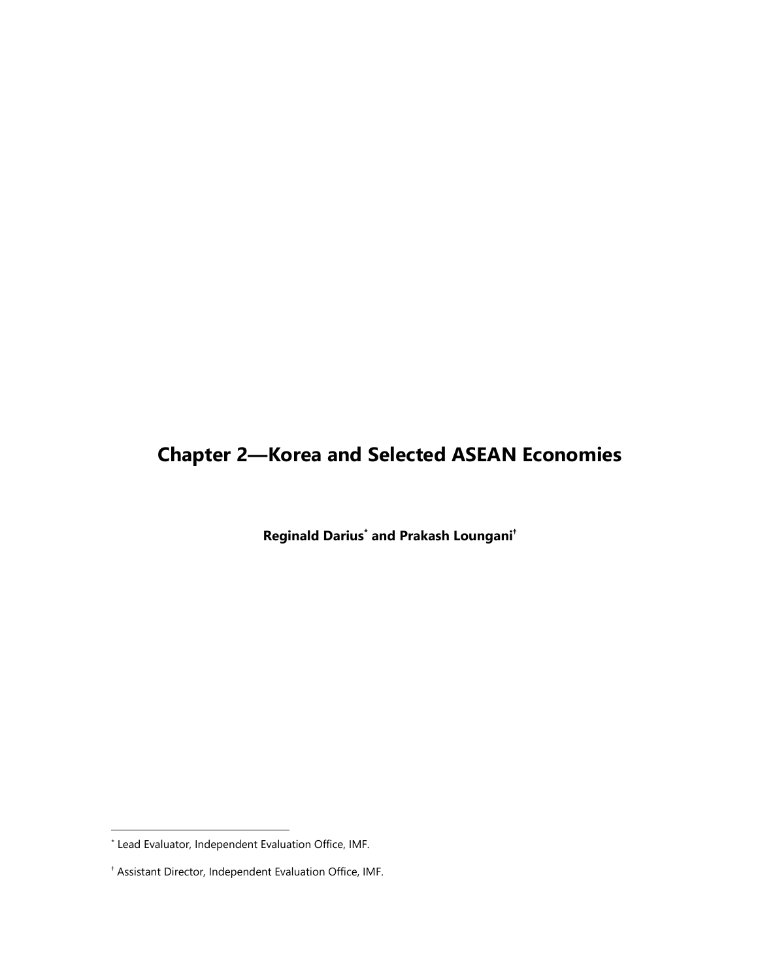# **Chapter 2—Korea and Selected ASEAN Economies**

**Reginald Darius\* and Prakash Loungani†**

<sup>\*</sup> Lead Evaluator, Independent Evaluation Office, IMF.

<sup>†</sup> Assistant Director, Independent Evaluation Office, IMF.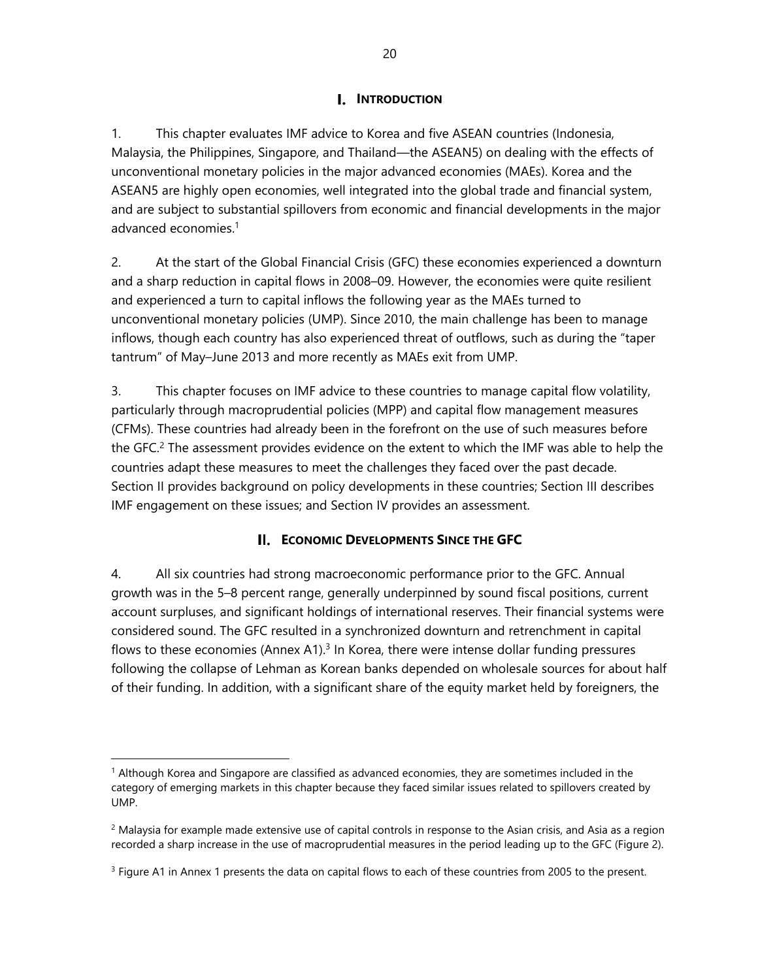## **I.** INTRODUCTION

1. This chapter evaluates IMF advice to Korea and five ASEAN countries (Indonesia, Malaysia, the Philippines, Singapore, and Thailand—the ASEAN5) on dealing with the effects of unconventional monetary policies in the major advanced economies (MAEs). Korea and the ASEAN5 are highly open economies, well integrated into the global trade and financial system, and are subject to substantial spillovers from economic and financial developments in the major advanced economies.1

2. At the start of the Global Financial Crisis (GFC) these economies experienced a downturn and a sharp reduction in capital flows in 2008–09. However, the economies were quite resilient and experienced a turn to capital inflows the following year as the MAEs turned to unconventional monetary policies (UMP). Since 2010, the main challenge has been to manage inflows, though each country has also experienced threat of outflows, such as during the "taper tantrum" of May–June 2013 and more recently as MAEs exit from UMP.

3. This chapter focuses on IMF advice to these countries to manage capital flow volatility, particularly through macroprudential policies (MPP) and capital flow management measures (CFMs). These countries had already been in the forefront on the use of such measures before the GFC.<sup>2</sup> The assessment provides evidence on the extent to which the IMF was able to help the countries adapt these measures to meet the challenges they faced over the past decade. Section II provides background on policy developments in these countries; Section III describes IMF engagement on these issues; and Section IV provides an assessment.

## **ECONOMIC DEVELOPMENTS SINCE THE GFC**

4. All six countries had strong macroeconomic performance prior to the GFC. Annual growth was in the 5–8 percent range, generally underpinned by sound fiscal positions, current account surpluses, and significant holdings of international reserves. Their financial systems were considered sound. The GFC resulted in a synchronized downturn and retrenchment in capital flows to these economies (Annex A1).<sup>3</sup> In Korea, there were intense dollar funding pressures following the collapse of Lehman as Korean banks depended on wholesale sources for about half of their funding. In addition, with a significant share of the equity market held by foreigners, the

-

<sup>1</sup> Although Korea and Singapore are classified as advanced economies, they are sometimes included in the category of emerging markets in this chapter because they faced similar issues related to spillovers created by UMP.

 $<sup>2</sup>$  Malaysia for example made extensive use of capital controls in response to the Asian crisis, and Asia as a region</sup> recorded a sharp increase in the use of macroprudential measures in the period leading up to the GFC (Figure 2).

<sup>&</sup>lt;sup>3</sup> Figure A1 in Annex 1 presents the data on capital flows to each of these countries from 2005 to the present.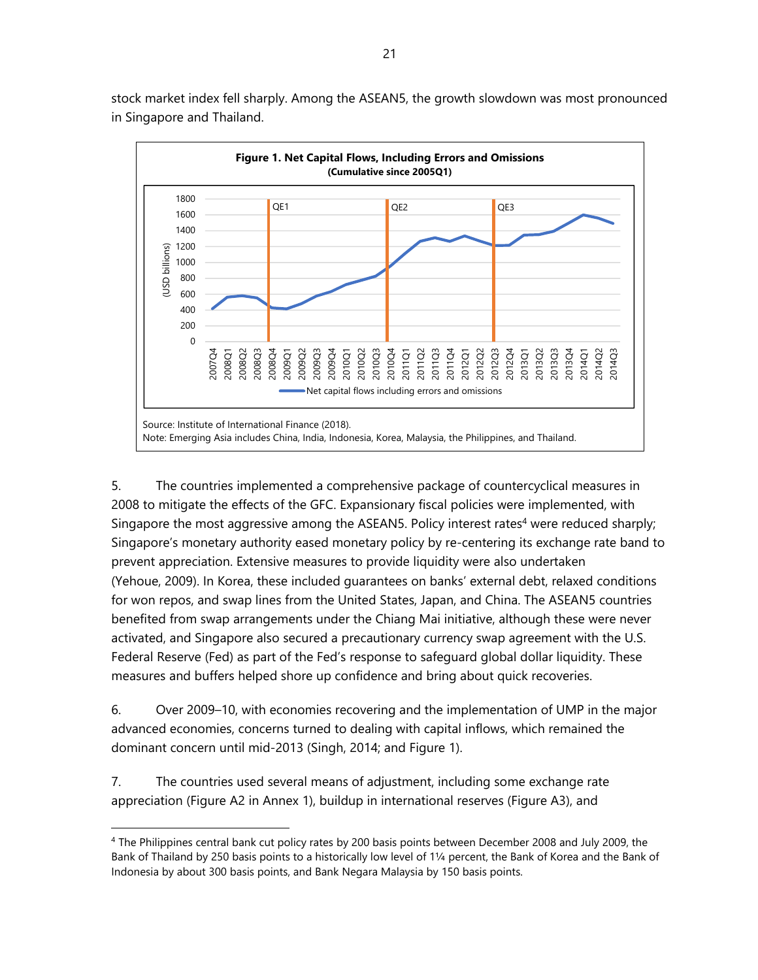

stock market index fell sharply. Among the ASEAN5, the growth slowdown was most pronounced in Singapore and Thailand.

5. The countries implemented a comprehensive package of countercyclical measures in 2008 to mitigate the effects of the GFC. Expansionary fiscal policies were implemented, with Singapore the most aggressive among the ASEAN5. Policy interest rates<sup>4</sup> were reduced sharply; Singapore's monetary authority eased monetary policy by re-centering its exchange rate band to prevent appreciation. Extensive measures to provide liquidity were also undertaken (Yehoue, 2009). In Korea, these included guarantees on banks' external debt, relaxed conditions for won repos, and swap lines from the United States, Japan, and China. The ASEAN5 countries benefited from swap arrangements under the Chiang Mai initiative, although these were never activated, and Singapore also secured a precautionary currency swap agreement with the U.S. Federal Reserve (Fed) as part of the Fed's response to safeguard global dollar liquidity. These measures and buffers helped shore up confidence and bring about quick recoveries.

6. Over 2009–10, with economies recovering and the implementation of UMP in the major advanced economies, concerns turned to dealing with capital inflows, which remained the dominant concern until mid-2013 (Singh, 2014; and Figure 1).

7. The countries used several means of adjustment, including some exchange rate appreciation (Figure A2 in Annex 1), buildup in international reserves (Figure A3), and

<sup>4</sup> The Philippines central bank cut policy rates by 200 basis points between December 2008 and July 2009, the Bank of Thailand by 250 basis points to a historically low level of 1¼ percent, the Bank of Korea and the Bank of Indonesia by about 300 basis points, and Bank Negara Malaysia by 150 basis points.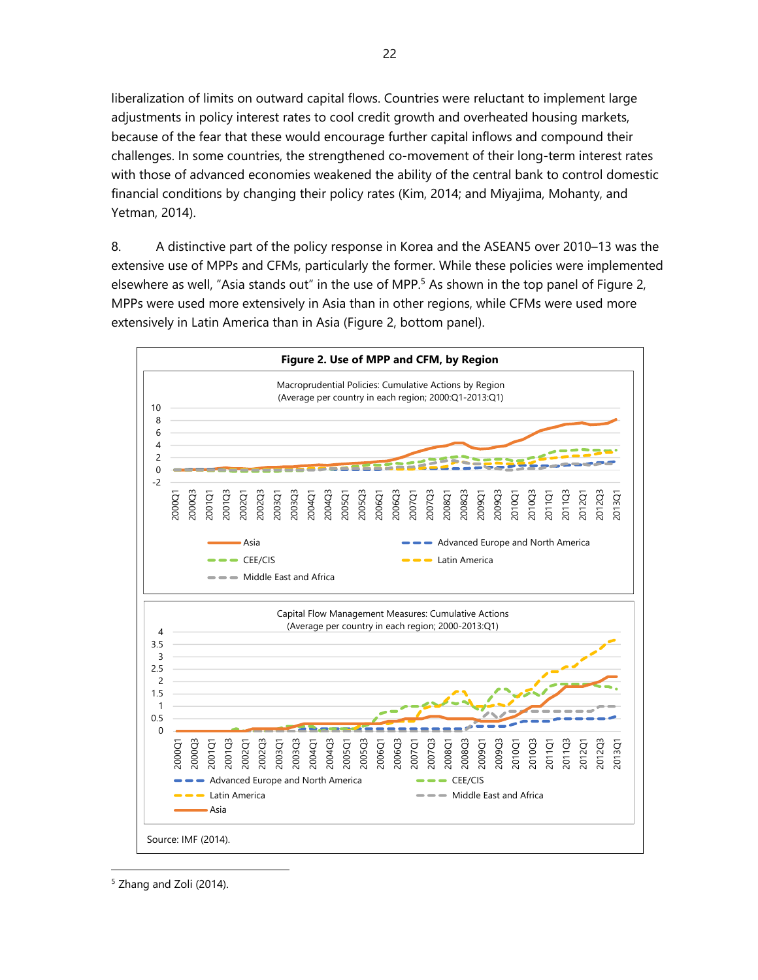liberalization of limits on outward capital flows. Countries were reluctant to implement large adjustments in policy interest rates to cool credit growth and overheated housing markets, because of the fear that these would encourage further capital inflows and compound their challenges. In some countries, the strengthened co-movement of their long-term interest rates with those of advanced economies weakened the ability of the central bank to control domestic financial conditions by changing their policy rates (Kim, 2014; and Miyajima, Mohanty, and Yetman, 2014).

8. A distinctive part of the policy response in Korea and the ASEAN5 over 2010–13 was the extensive use of MPPs and CFMs, particularly the former. While these policies were implemented elsewhere as well, "Asia stands out" in the use of MPP.<sup>5</sup> As shown in the top panel of Figure 2, MPPs were used more extensively in Asia than in other regions, while CFMs were used more extensively in Latin America than in Asia (Figure 2, bottom panel).



<sup>&</sup>lt;sup>5</sup> Zhang and Zoli (2014).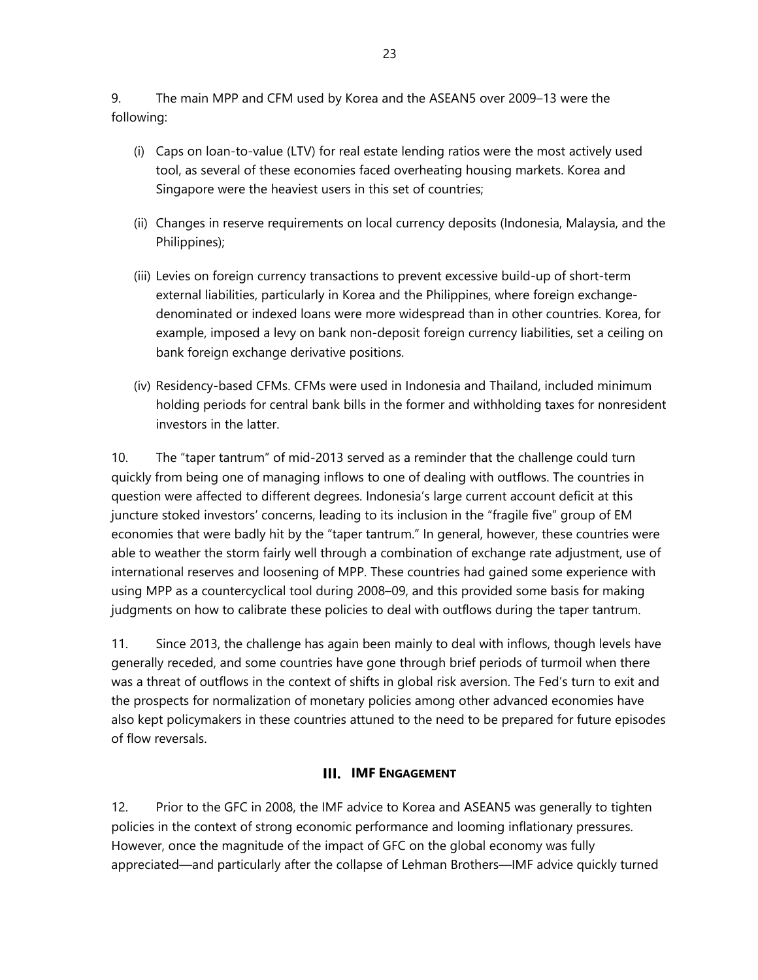9. The main MPP and CFM used by Korea and the ASEAN5 over 2009–13 were the following:

- (i) Caps on loan-to-value (LTV) for real estate lending ratios were the most actively used tool, as several of these economies faced overheating housing markets. Korea and Singapore were the heaviest users in this set of countries;
- (ii) Changes in reserve requirements on local currency deposits (Indonesia, Malaysia, and the Philippines);
- (iii) Levies on foreign currency transactions to prevent excessive build-up of short-term external liabilities, particularly in Korea and the Philippines, where foreign exchangedenominated or indexed loans were more widespread than in other countries. Korea, for example, imposed a levy on bank non-deposit foreign currency liabilities, set a ceiling on bank foreign exchange derivative positions.
- (iv) Residency-based CFMs. CFMs were used in Indonesia and Thailand, included minimum holding periods for central bank bills in the former and withholding taxes for nonresident investors in the latter.

10. The "taper tantrum" of mid-2013 served as a reminder that the challenge could turn quickly from being one of managing inflows to one of dealing with outflows. The countries in question were affected to different degrees. Indonesia's large current account deficit at this juncture stoked investors' concerns, leading to its inclusion in the "fragile five" group of EM economies that were badly hit by the "taper tantrum." In general, however, these countries were able to weather the storm fairly well through a combination of exchange rate adjustment, use of international reserves and loosening of MPP. These countries had gained some experience with using MPP as a countercyclical tool during 2008–09, and this provided some basis for making judgments on how to calibrate these policies to deal with outflows during the taper tantrum.

11. Since 2013, the challenge has again been mainly to deal with inflows, though levels have generally receded, and some countries have gone through brief periods of turmoil when there was a threat of outflows in the context of shifts in global risk aversion. The Fed's turn to exit and the prospects for normalization of monetary policies among other advanced economies have also kept policymakers in these countries attuned to the need to be prepared for future episodes of flow reversals.

## **IMF ENGAGEMENT**

12. Prior to the GFC in 2008, the IMF advice to Korea and ASEAN5 was generally to tighten policies in the context of strong economic performance and looming inflationary pressures. However, once the magnitude of the impact of GFC on the global economy was fully appreciated—and particularly after the collapse of Lehman Brothers—IMF advice quickly turned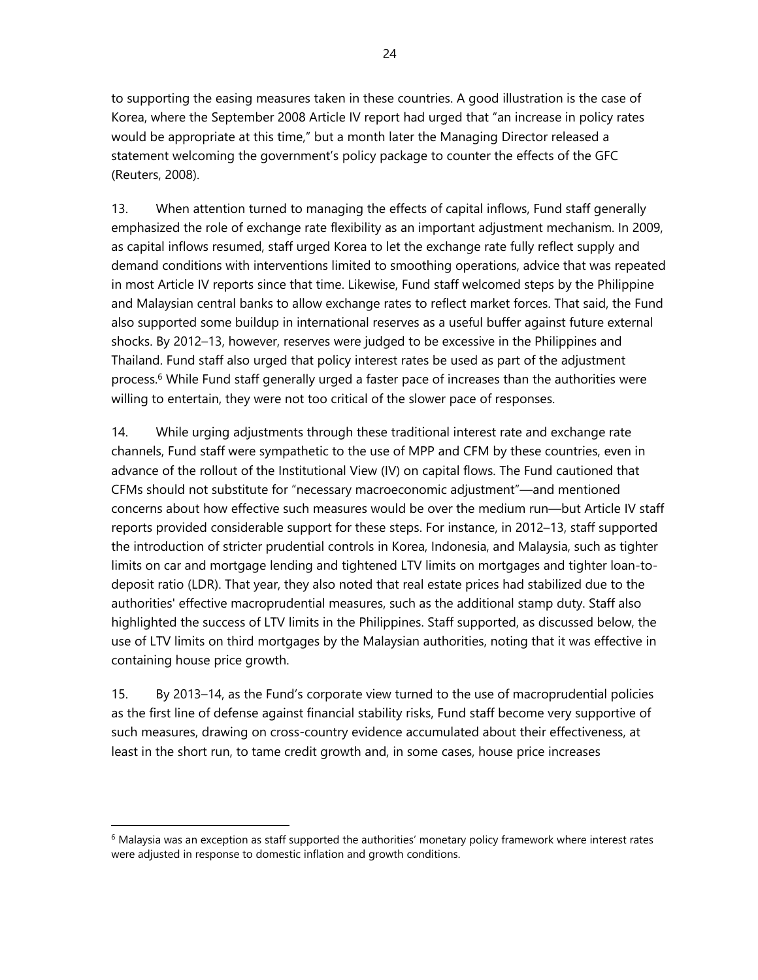to supporting the easing measures taken in these countries. A good illustration is the case of Korea, where the September 2008 Article IV report had urged that "an increase in policy rates would be appropriate at this time," but a month later the Managing Director released a statement welcoming the government's policy package to counter the effects of the GFC (Reuters, 2008).

13. When attention turned to managing the effects of capital inflows, Fund staff generally emphasized the role of exchange rate flexibility as an important adjustment mechanism. In 2009, as capital inflows resumed, staff urged Korea to let the exchange rate fully reflect supply and demand conditions with interventions limited to smoothing operations, advice that was repeated in most Article IV reports since that time. Likewise, Fund staff welcomed steps by the Philippine and Malaysian central banks to allow exchange rates to reflect market forces. That said, the Fund also supported some buildup in international reserves as a useful buffer against future external shocks. By 2012–13, however, reserves were judged to be excessive in the Philippines and Thailand. Fund staff also urged that policy interest rates be used as part of the adjustment process.6 While Fund staff generally urged a faster pace of increases than the authorities were willing to entertain, they were not too critical of the slower pace of responses.

14. While urging adjustments through these traditional interest rate and exchange rate channels, Fund staff were sympathetic to the use of MPP and CFM by these countries, even in advance of the rollout of the Institutional View (IV) on capital flows. The Fund cautioned that CFMs should not substitute for "necessary macroeconomic adjustment"—and mentioned concerns about how effective such measures would be over the medium run—but Article IV staff reports provided considerable support for these steps. For instance, in 2012–13, staff supported the introduction of stricter prudential controls in Korea, Indonesia, and Malaysia, such as tighter limits on car and mortgage lending and tightened LTV limits on mortgages and tighter loan-todeposit ratio (LDR). That year, they also noted that real estate prices had stabilized due to the authorities' effective macroprudential measures, such as the additional stamp duty. Staff also highlighted the success of LTV limits in the Philippines. Staff supported, as discussed below, the use of LTV limits on third mortgages by the Malaysian authorities, noting that it was effective in containing house price growth.

15. By 2013–14, as the Fund's corporate view turned to the use of macroprudential policies as the first line of defense against financial stability risks, Fund staff become very supportive of such measures, drawing on cross-country evidence accumulated about their effectiveness, at least in the short run, to tame credit growth and, in some cases, house price increases

 $6$  Malaysia was an exception as staff supported the authorities' monetary policy framework where interest rates were adjusted in response to domestic inflation and growth conditions.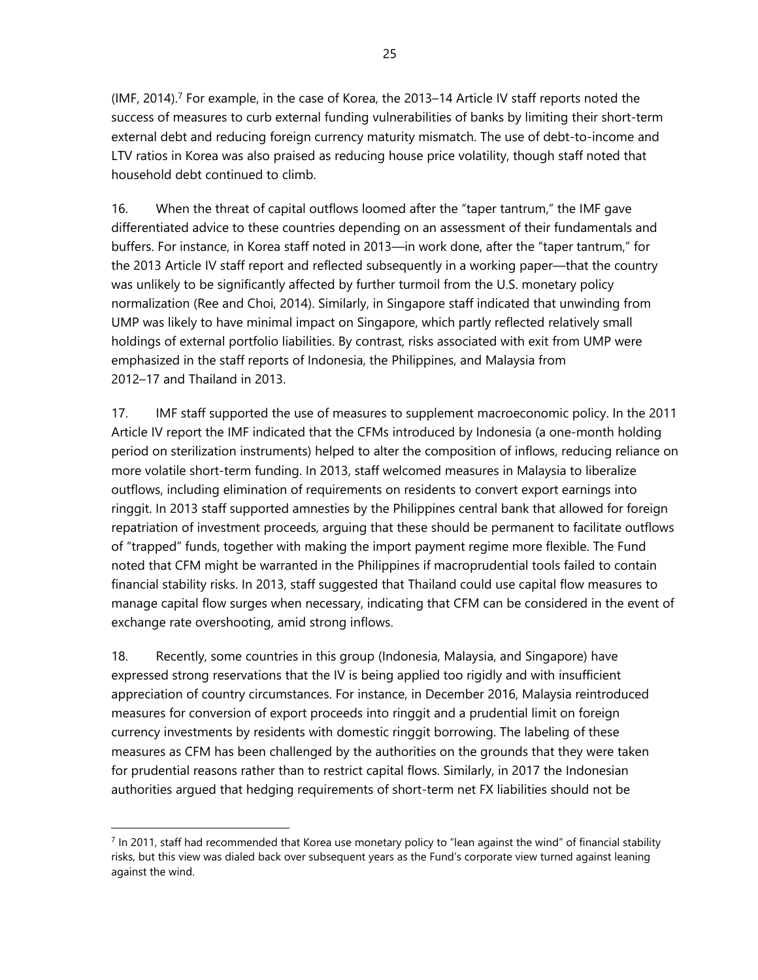$(MF, 2014).$ <sup>7</sup> For example, in the case of Korea, the 2013–14 Article IV staff reports noted the success of measures to curb external funding vulnerabilities of banks by limiting their short-term external debt and reducing foreign currency maturity mismatch. The use of debt-to-income and LTV ratios in Korea was also praised as reducing house price volatility, though staff noted that household debt continued to climb.

16. When the threat of capital outflows loomed after the "taper tantrum," the IMF gave differentiated advice to these countries depending on an assessment of their fundamentals and buffers. For instance, in Korea staff noted in 2013—in work done, after the "taper tantrum," for the 2013 Article IV staff report and reflected subsequently in a working paper—that the country was unlikely to be significantly affected by further turmoil from the U.S. monetary policy normalization (Ree and Choi, 2014). Similarly, in Singapore staff indicated that unwinding from UMP was likely to have minimal impact on Singapore, which partly reflected relatively small holdings of external portfolio liabilities. By contrast, risks associated with exit from UMP were emphasized in the staff reports of Indonesia, the Philippines, and Malaysia from 2012–17 and Thailand in 2013.

17. IMF staff supported the use of measures to supplement macroeconomic policy. In the 2011 Article IV report the IMF indicated that the CFMs introduced by Indonesia (a one-month holding period on sterilization instruments) helped to alter the composition of inflows, reducing reliance on more volatile short-term funding. In 2013, staff welcomed measures in Malaysia to liberalize outflows, including elimination of requirements on residents to convert export earnings into ringgit. In 2013 staff supported amnesties by the Philippines central bank that allowed for foreign repatriation of investment proceeds, arguing that these should be permanent to facilitate outflows of "trapped" funds, together with making the import payment regime more flexible. The Fund noted that CFM might be warranted in the Philippines if macroprudential tools failed to contain financial stability risks. In 2013, staff suggested that Thailand could use capital flow measures to manage capital flow surges when necessary, indicating that CFM can be considered in the event of exchange rate overshooting, amid strong inflows.

18. Recently, some countries in this group (Indonesia, Malaysia, and Singapore) have expressed strong reservations that the IV is being applied too rigidly and with insufficient appreciation of country circumstances. For instance, in December 2016, Malaysia reintroduced measures for conversion of export proceeds into ringgit and a prudential limit on foreign currency investments by residents with domestic ringgit borrowing. The labeling of these measures as CFM has been challenged by the authorities on the grounds that they were taken for prudential reasons rather than to restrict capital flows. Similarly, in 2017 the Indonesian authorities argued that hedging requirements of short-term net FX liabilities should not be

 $<sup>7</sup>$  In 2011, staff had recommended that Korea use monetary policy to "lean against the wind" of financial stability</sup> risks, but this view was dialed back over subsequent years as the Fund's corporate view turned against leaning against the wind.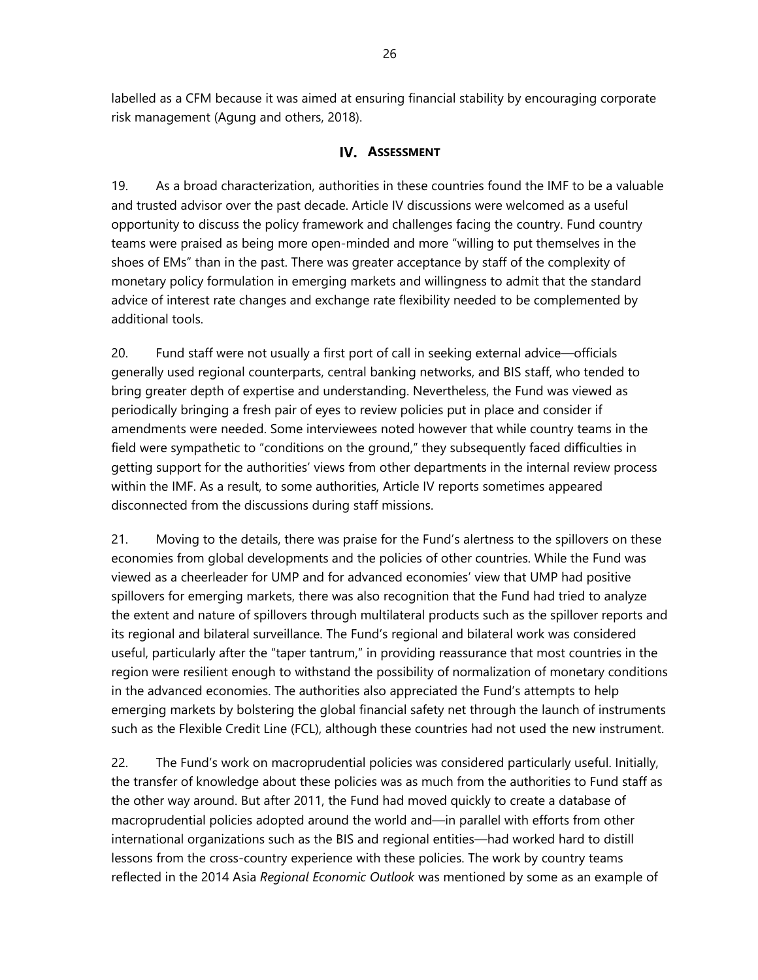labelled as a CFM because it was aimed at ensuring financial stability by encouraging corporate risk management (Agung and others, 2018).

#### **IV.** ASSESSMENT

19. As a broad characterization, authorities in these countries found the IMF to be a valuable and trusted advisor over the past decade. Article IV discussions were welcomed as a useful opportunity to discuss the policy framework and challenges facing the country. Fund country teams were praised as being more open-minded and more "willing to put themselves in the shoes of EMs" than in the past. There was greater acceptance by staff of the complexity of monetary policy formulation in emerging markets and willingness to admit that the standard advice of interest rate changes and exchange rate flexibility needed to be complemented by additional tools.

20. Fund staff were not usually a first port of call in seeking external advice—officials generally used regional counterparts, central banking networks, and BIS staff, who tended to bring greater depth of expertise and understanding. Nevertheless, the Fund was viewed as periodically bringing a fresh pair of eyes to review policies put in place and consider if amendments were needed. Some interviewees noted however that while country teams in the field were sympathetic to "conditions on the ground," they subsequently faced difficulties in getting support for the authorities' views from other departments in the internal review process within the IMF. As a result, to some authorities, Article IV reports sometimes appeared disconnected from the discussions during staff missions.

21. Moving to the details, there was praise for the Fund's alertness to the spillovers on these economies from global developments and the policies of other countries. While the Fund was viewed as a cheerleader for UMP and for advanced economies' view that UMP had positive spillovers for emerging markets, there was also recognition that the Fund had tried to analyze the extent and nature of spillovers through multilateral products such as the spillover reports and its regional and bilateral surveillance. The Fund's regional and bilateral work was considered useful, particularly after the "taper tantrum," in providing reassurance that most countries in the region were resilient enough to withstand the possibility of normalization of monetary conditions in the advanced economies. The authorities also appreciated the Fund's attempts to help emerging markets by bolstering the global financial safety net through the launch of instruments such as the Flexible Credit Line (FCL), although these countries had not used the new instrument.

22. The Fund's work on macroprudential policies was considered particularly useful. Initially, the transfer of knowledge about these policies was as much from the authorities to Fund staff as the other way around. But after 2011, the Fund had moved quickly to create a database of macroprudential policies adopted around the world and—in parallel with efforts from other international organizations such as the BIS and regional entities—had worked hard to distill lessons from the cross-country experience with these policies. The work by country teams reflected in the 2014 Asia *Regional Economic Outlook* was mentioned by some as an example of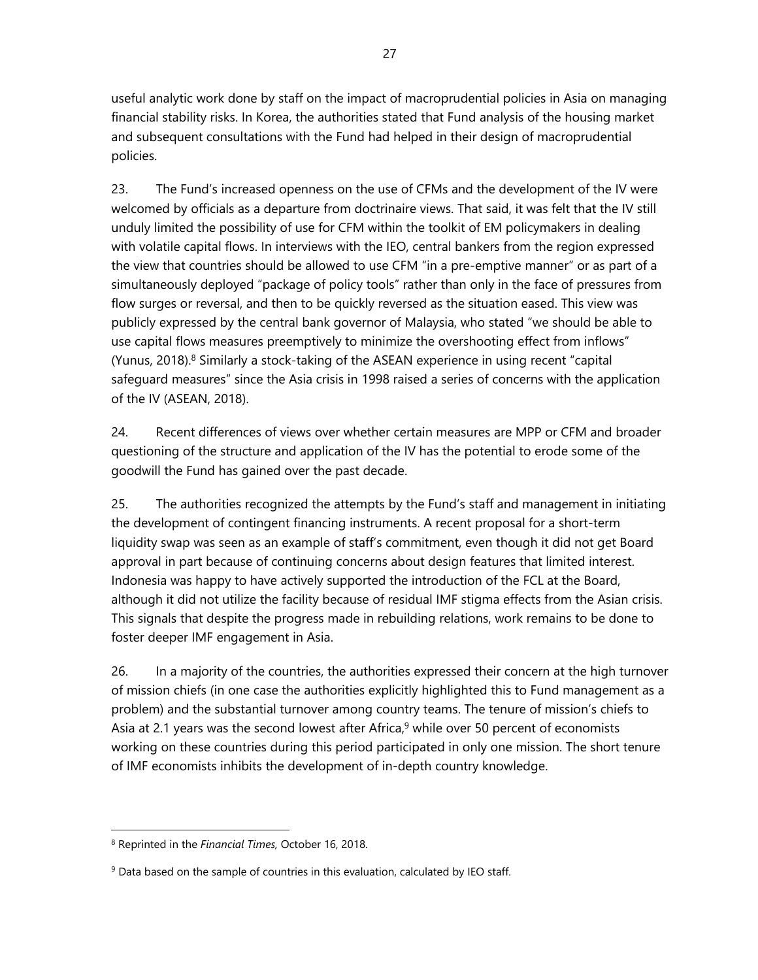useful analytic work done by staff on the impact of macroprudential policies in Asia on managing financial stability risks. In Korea, the authorities stated that Fund analysis of the housing market and subsequent consultations with the Fund had helped in their design of macroprudential policies.

23. The Fund's increased openness on the use of CFMs and the development of the IV were welcomed by officials as a departure from doctrinaire views. That said, it was felt that the IV still unduly limited the possibility of use for CFM within the toolkit of EM policymakers in dealing with volatile capital flows. In interviews with the IEO, central bankers from the region expressed the view that countries should be allowed to use CFM "in a pre-emptive manner" or as part of a simultaneously deployed "package of policy tools" rather than only in the face of pressures from flow surges or reversal, and then to be quickly reversed as the situation eased. This view was publicly expressed by the central bank governor of Malaysia, who stated "we should be able to use capital flows measures preemptively to minimize the overshooting effect from inflows" (Yunus, 2018). $8$  Similarly a stock-taking of the ASEAN experience in using recent "capital safeguard measures" since the Asia crisis in 1998 raised a series of concerns with the application of the IV (ASEAN, 2018).

24. Recent differences of views over whether certain measures are MPP or CFM and broader questioning of the structure and application of the IV has the potential to erode some of the goodwill the Fund has gained over the past decade.

25. The authorities recognized the attempts by the Fund's staff and management in initiating the development of contingent financing instruments. A recent proposal for a short-term liquidity swap was seen as an example of staff's commitment, even though it did not get Board approval in part because of continuing concerns about design features that limited interest. Indonesia was happy to have actively supported the introduction of the FCL at the Board, although it did not utilize the facility because of residual IMF stigma effects from the Asian crisis. This signals that despite the progress made in rebuilding relations, work remains to be done to foster deeper IMF engagement in Asia.

26. In a majority of the countries, the authorities expressed their concern at the high turnover of mission chiefs (in one case the authorities explicitly highlighted this to Fund management as a problem) and the substantial turnover among country teams. The tenure of mission's chiefs to Asia at 2.1 years was the second lowest after Africa,<sup>9</sup> while over 50 percent of economists working on these countries during this period participated in only one mission. The short tenure of IMF economists inhibits the development of in-depth country knowledge.

1

<sup>8</sup> Reprinted in the *Financial Times,* October 16, 2018.

 $9$  Data based on the sample of countries in this evaluation, calculated by IEO staff.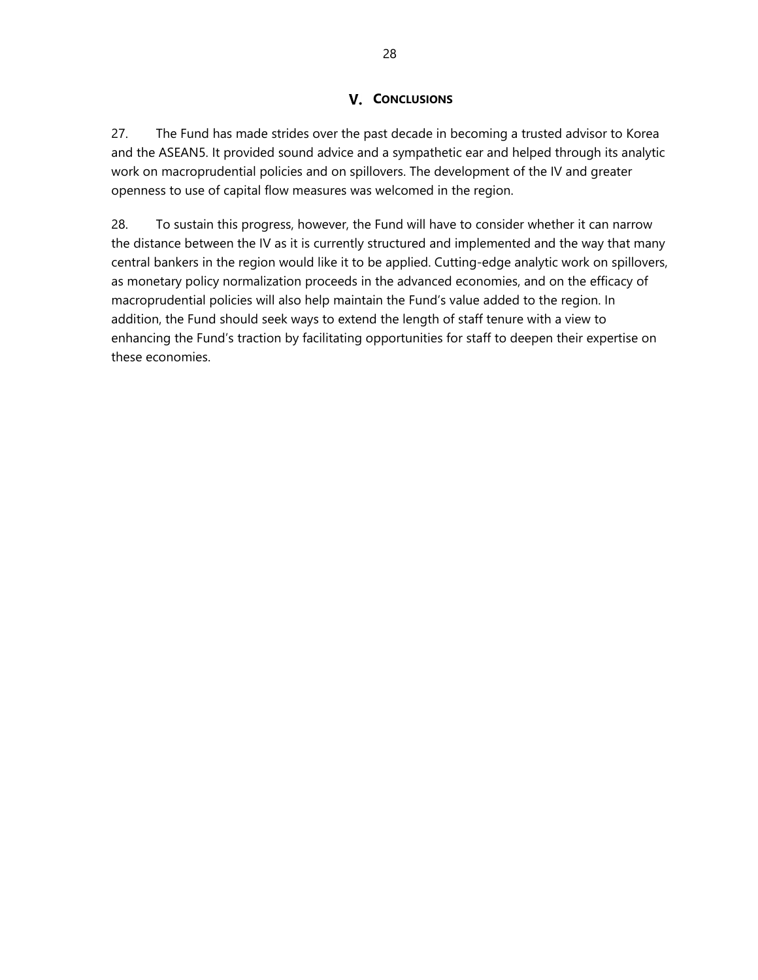## **V.** CONCLUSIONS

27. The Fund has made strides over the past decade in becoming a trusted advisor to Korea and the ASEAN5. It provided sound advice and a sympathetic ear and helped through its analytic work on macroprudential policies and on spillovers. The development of the IV and greater openness to use of capital flow measures was welcomed in the region.

28. To sustain this progress, however, the Fund will have to consider whether it can narrow the distance between the IV as it is currently structured and implemented and the way that many central bankers in the region would like it to be applied. Cutting-edge analytic work on spillovers, as monetary policy normalization proceeds in the advanced economies, and on the efficacy of macroprudential policies will also help maintain the Fund's value added to the region. In addition, the Fund should seek ways to extend the length of staff tenure with a view to enhancing the Fund's traction by facilitating opportunities for staff to deepen their expertise on these economies.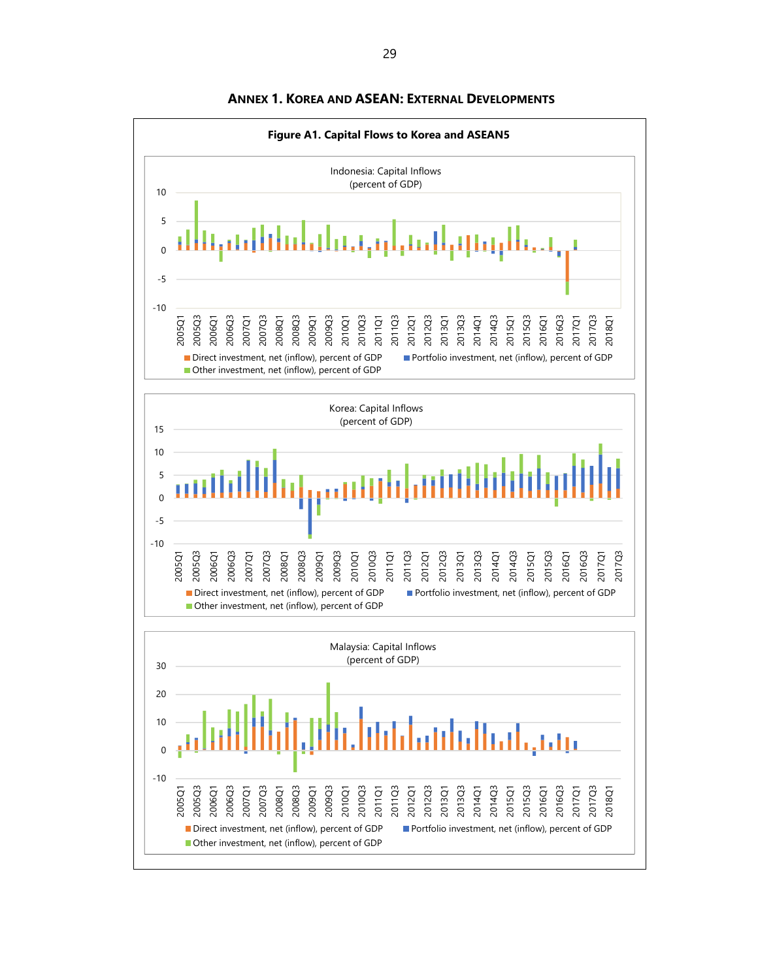

**ANNEX 1. KOREA AND ASEAN: EXTERNAL DEVELOPMENTS**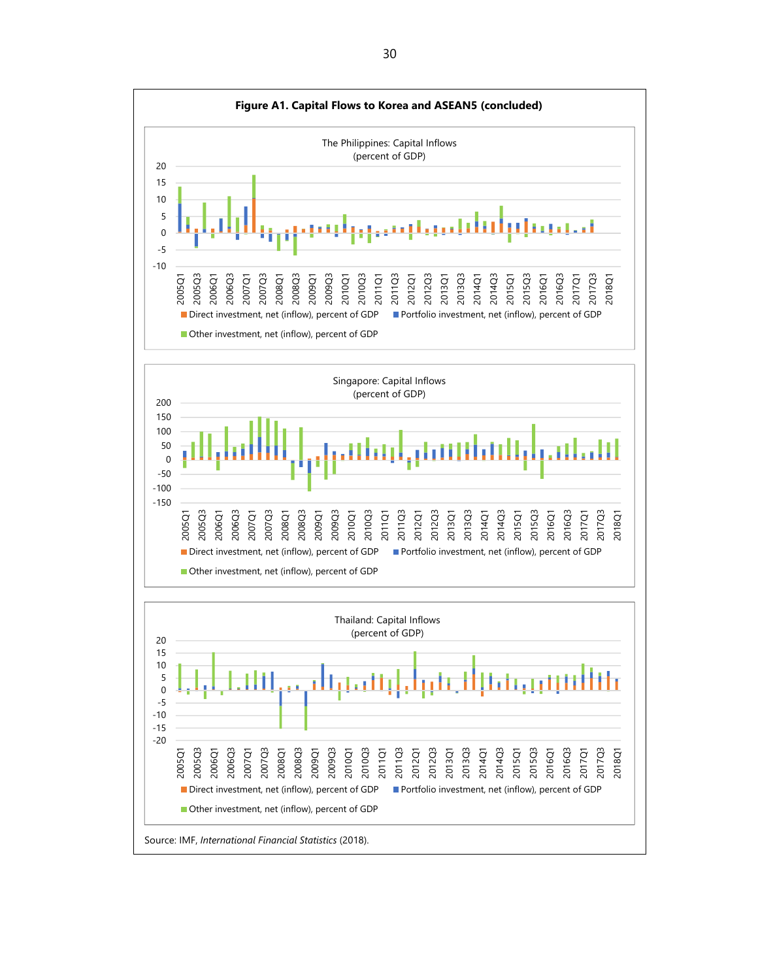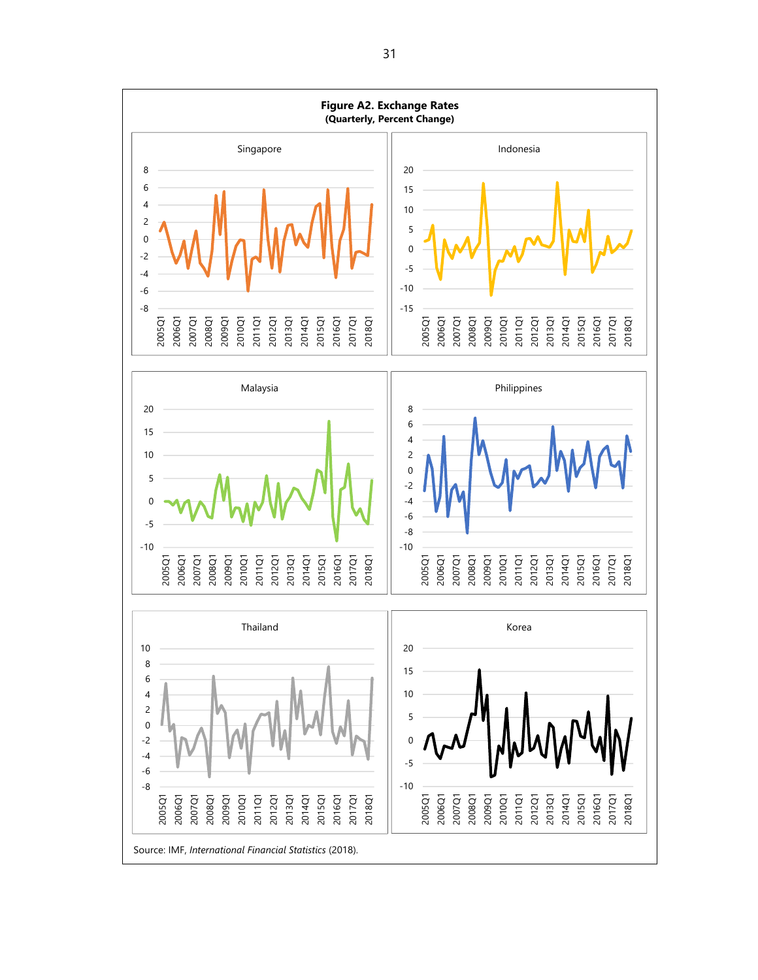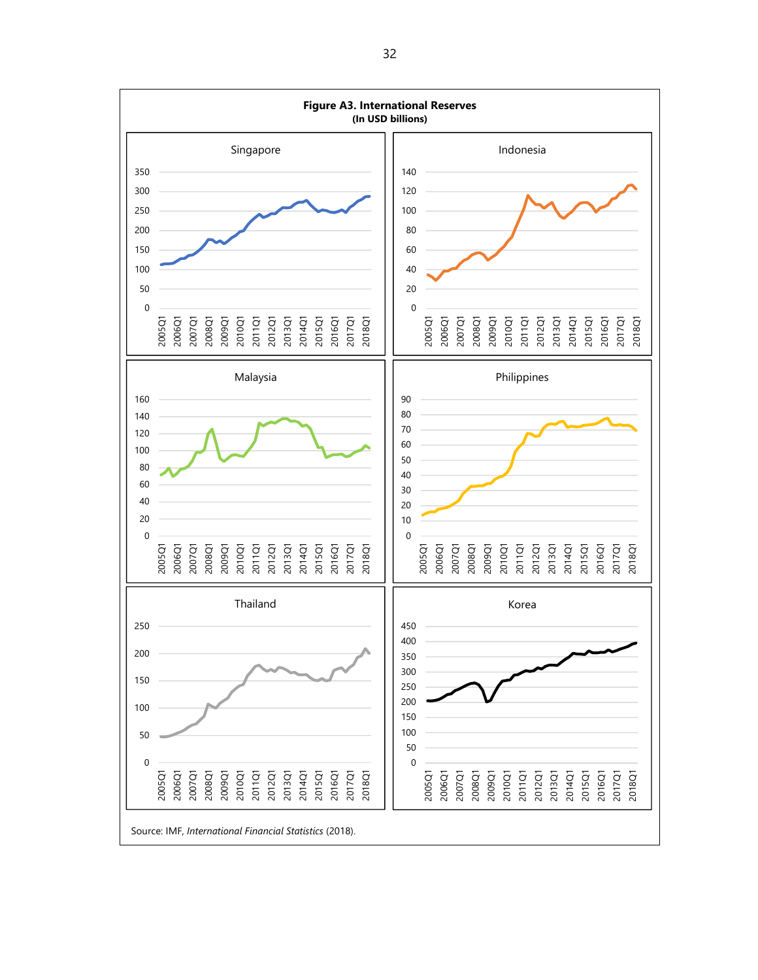